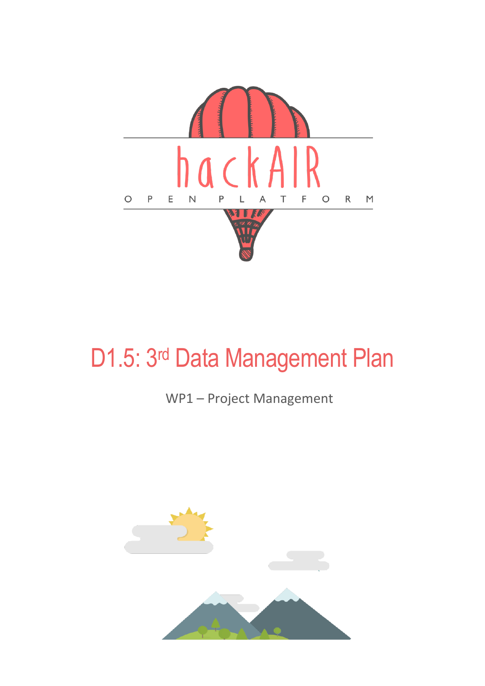

### WP1 – Project Management

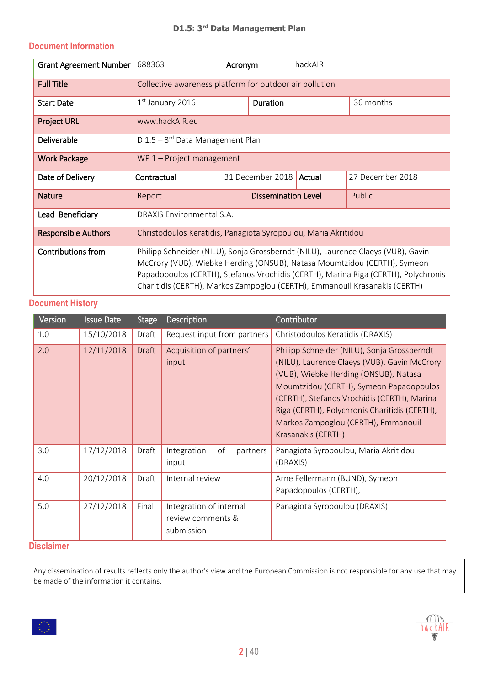#### **Document Information**

| <b>Grant Agreement Number</b> | 688363                                                                                                                                                                                                                                                                                                                           | Acronym |                    | hackAIR |                  |
|-------------------------------|----------------------------------------------------------------------------------------------------------------------------------------------------------------------------------------------------------------------------------------------------------------------------------------------------------------------------------|---------|--------------------|---------|------------------|
| <b>Full Title</b>             | Collective awareness platform for outdoor air pollution                                                                                                                                                                                                                                                                          |         |                    |         |                  |
| <b>Start Date</b>             | $1st$ January 2016                                                                                                                                                                                                                                                                                                               |         | <b>Duration</b>    |         | 36 months        |
| <b>Project URL</b>            | www.hackAIR.eu                                                                                                                                                                                                                                                                                                                   |         |                    |         |                  |
| Deliverable                   | D $1.5 - 3$ <sup>rd</sup> Data Management Plan                                                                                                                                                                                                                                                                                   |         |                    |         |                  |
| <b>Work Package</b>           | $WP 1$ – Project management                                                                                                                                                                                                                                                                                                      |         |                    |         |                  |
| Date of Delivery              | Contractual                                                                                                                                                                                                                                                                                                                      |         | 31 December 2018   | Actual  | 27 December 2018 |
| <b>Nature</b>                 | Report                                                                                                                                                                                                                                                                                                                           |         | Dissemination Leve |         | Public           |
| Lead Beneficiary              | DRAXIS Environmental S.A.                                                                                                                                                                                                                                                                                                        |         |                    |         |                  |
| <b>Responsible Authors</b>    | Christodoulos Keratidis, Panagiota Syropoulou, Maria Akritidou                                                                                                                                                                                                                                                                   |         |                    |         |                  |
| <b>Contributions from</b>     | Philipp Schneider (NILU), Sonja Grossberndt (NILU), Laurence Claeys (VUB), Gavin<br>McCrory (VUB), Wiebke Herding (ONSUB), Natasa Moumtzidou (CERTH), Symeon<br>Papadopoulos (CERTH), Stefanos Vrochidis (CERTH), Marina Riga (CERTH), Polychronis<br>Charitidis (CERTH), Markos Zampoglou (CERTH), Emmanouil Krasanakis (CERTH) |         |                    |         |                  |

#### **Document History**

| Version | <b>Issue Date</b> | <b>Stage</b> | Description                                                | Contributor                                                                                                                                                                                                                                                                                                                                  |
|---------|-------------------|--------------|------------------------------------------------------------|----------------------------------------------------------------------------------------------------------------------------------------------------------------------------------------------------------------------------------------------------------------------------------------------------------------------------------------------|
| 1.0     | 15/10/2018        | Draft        | Request input from partners                                | Christodoulos Keratidis (DRAXIS)                                                                                                                                                                                                                                                                                                             |
| 2.0     | 12/11/2018        | Draft        | Acquisition of partners'<br>input                          | Philipp Schneider (NILU), Sonja Grossberndt<br>(NILU), Laurence Claeys (VUB), Gavin McCrory<br>(VUB), Wiebke Herding (ONSUB), Natasa<br>Moumtzidou (CERTH), Symeon Papadopoulos<br>(CERTH), Stefanos Vrochidis (CERTH), Marina<br>Riga (CERTH), Polychronis Charitidis (CERTH),<br>Markos Zampoglou (CERTH), Emmanouil<br>Krasanakis (CERTH) |
| 3.0     | 17/12/2018        | Draft        | of<br>Integration<br>partners<br>input                     | Panagiota Syropoulou, Maria Akritidou<br>(DRAXIS)                                                                                                                                                                                                                                                                                            |
| 4.0     | 20/12/2018        | Draft        | Internal review                                            | Arne Fellermann (BUND), Symeon<br>Papadopoulos (CERTH),                                                                                                                                                                                                                                                                                      |
| 5.0     | 27/12/2018        | Final        | Integration of internal<br>review comments &<br>submission | Panagiota Syropoulou (DRAXIS)                                                                                                                                                                                                                                                                                                                |

#### **Disclaimer**

Any dissemination of results reflects only the author's view and the European Commission is not responsible for any use that may be made of the information it contains.



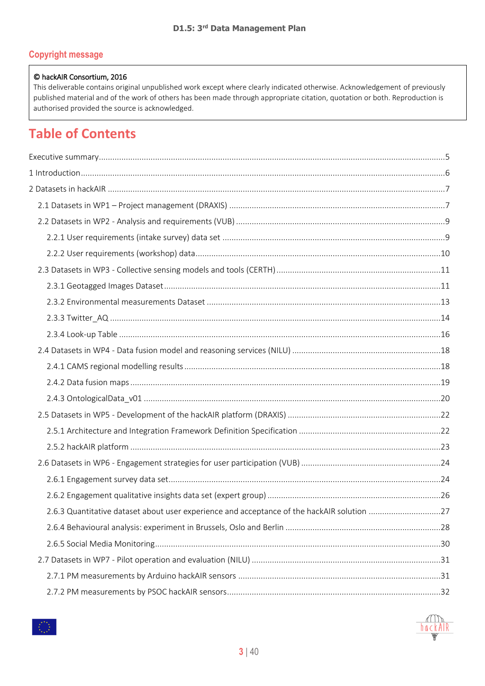#### **Copyright message**

#### © hackAIR Consortium, 2016

This deliverable contains original unpublished work except where clearly indicated otherwise. Acknowledgement of previously published material and of the work of others has been made through appropriate citation, quotation or both. Reproduction is authorised provided the source is acknowledged.

#### **Table of Contents**

| 2.6.3 Quantitative dataset about user experience and acceptance of the hackAIR solution 27 |  |
|--------------------------------------------------------------------------------------------|--|
|                                                                                            |  |
|                                                                                            |  |
|                                                                                            |  |
|                                                                                            |  |
|                                                                                            |  |

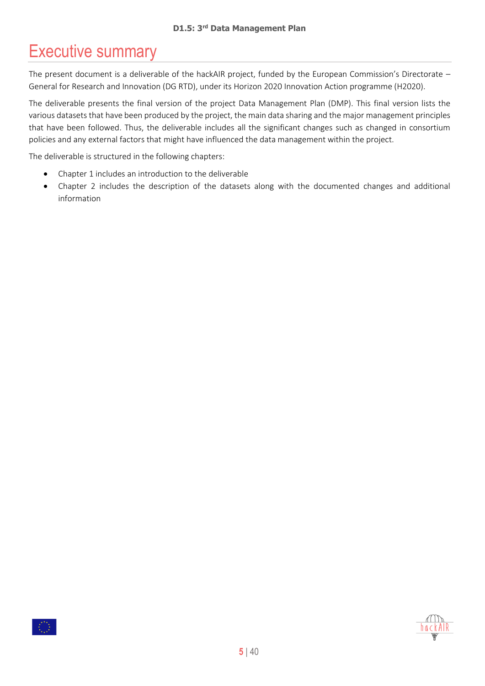# <span id="page-4-0"></span>Executive summary

The present document is a deliverable of the hackAIR project, funded by the European Commission's Directorate – General for Research and Innovation (DG RTD), under its Horizon 2020 Innovation Action programme (H2020).

The deliverable presents the final version of the project Data Management Plan (DMP). This final version lists the various datasets that have been produced by the project, the main data sharing and the major management principles that have been followed. Thus, the deliverable includes all the significant changes such as changed in consortium policies and any external factors that might have influenced the data management within the project.

The deliverable is structured in the following chapters:

- Chapter 1 includes an introduction to the deliverable
- Chapter 2 includes the description of the datasets along with the documented changes and additional information



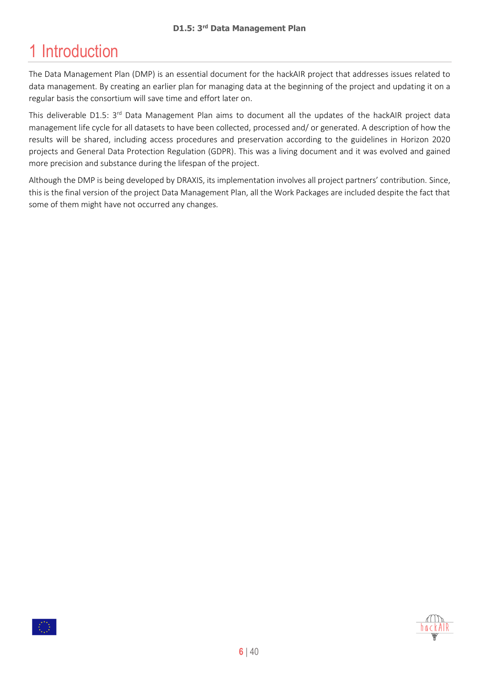# <span id="page-5-0"></span>1 Introduction

The Data Management Plan (DMP) is an essential document for the hackAIR project that addresses issues related to data management. By creating an earlier plan for managing data at the beginning of the project and updating it on a regular basis the consortium will save time and effort later on.

This deliverable D1.5: 3<sup>rd</sup> Data Management Plan aims to document all the updates of the hackAIR project data management life cycle for all datasets to have been collected, processed and/ or generated. A description of how the results will be shared, including access procedures and preservation according to the guidelines in Horizon 2020 projects and General Data Protection Regulation (GDPR). This was a living document and it was evolved and gained more precision and substance during the lifespan of the project.

Although the DMP is being developed by DRAXIS, its implementation involves all project partners' contribution. Since, this is the final version of the project Data Management Plan, all the Work Packages are included despite the fact that some of them might have not occurred any changes.



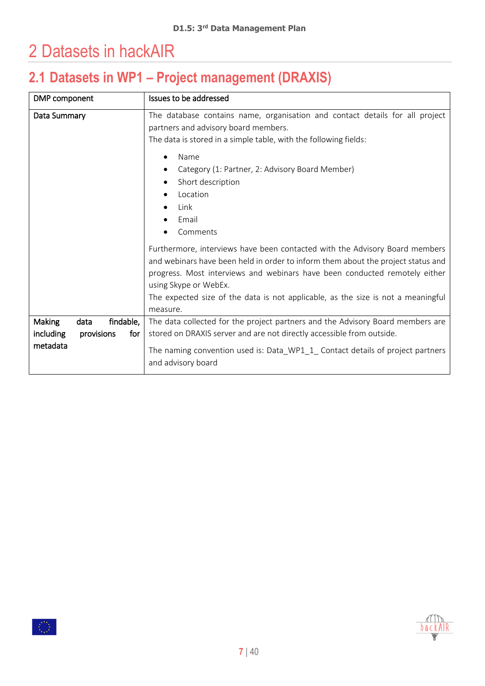# <span id="page-6-0"></span>2 Datasets in hackAIR

# <span id="page-6-1"></span>**2.1 Datasets in WP1 – Project management (DRAXIS)**

| DMP component                                                                    | Issues to be addressed                                                                                                                                                                                                                                                                                                                                                             |  |
|----------------------------------------------------------------------------------|------------------------------------------------------------------------------------------------------------------------------------------------------------------------------------------------------------------------------------------------------------------------------------------------------------------------------------------------------------------------------------|--|
| Data Summary                                                                     | The database contains name, organisation and contact details for all project<br>partners and advisory board members.<br>The data is stored in a simple table, with the following fields:                                                                                                                                                                                           |  |
|                                                                                  | Name<br>Category (1: Partner, 2: Advisory Board Member)<br>Short description<br>Location<br>Link<br>Email                                                                                                                                                                                                                                                                          |  |
|                                                                                  | Comments<br>Furthermore, interviews have been contacted with the Advisory Board members<br>and webinars have been held in order to inform them about the project status and<br>progress. Most interviews and webinars have been conducted remotely either<br>using Skype or WebEx.<br>The expected size of the data is not applicable, as the size is not a meaningful<br>measure. |  |
| <b>Making</b><br>findable,<br>data<br>including<br>for<br>provisions<br>metadata | The data collected for the project partners and the Advisory Board members are<br>stored on DRAXIS server and are not directly accessible from outside.<br>The naming convention used is: Data_WP1_1_Contact details of project partners<br>and advisory board                                                                                                                     |  |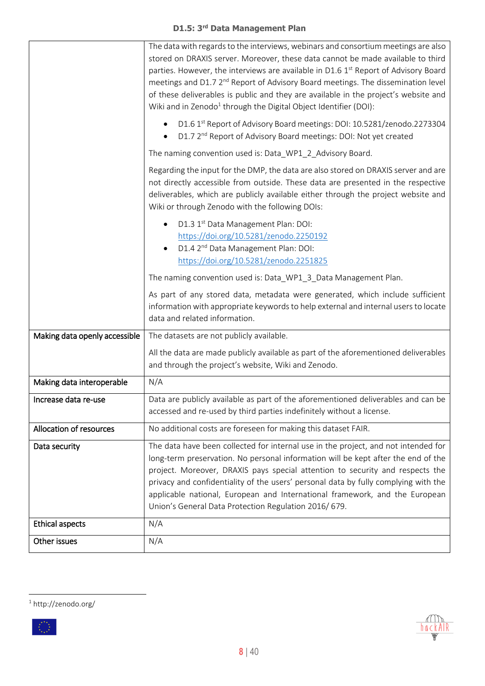| Other issues                                    | N/A                                                                                                                                                                                                                                                                                                                                                                                              |  |
|-------------------------------------------------|--------------------------------------------------------------------------------------------------------------------------------------------------------------------------------------------------------------------------------------------------------------------------------------------------------------------------------------------------------------------------------------------------|--|
| <b>Ethical aspects</b>                          | N/A                                                                                                                                                                                                                                                                                                                                                                                              |  |
| Data security                                   | long-term preservation. No personal information will be kept after the end of the<br>project. Moreover, DRAXIS pays special attention to security and respects the<br>privacy and confidentiality of the users' personal data by fully complying with the<br>applicable national, European and International framework, and the European<br>Union's General Data Protection Regulation 2016/679. |  |
|                                                 | The data have been collected for internal use in the project, and not intended for                                                                                                                                                                                                                                                                                                               |  |
| Increase data re-use<br>Allocation of resources | Data are publicly available as part of the aforementioned deliverables and can be<br>accessed and re-used by third parties indefinitely without a license.<br>No additional costs are foreseen for making this dataset FAIR.                                                                                                                                                                     |  |
| Making data interoperable                       | N/A                                                                                                                                                                                                                                                                                                                                                                                              |  |
|                                                 | All the data are made publicly available as part of the aforementioned deliverables<br>and through the project's website, Wiki and Zenodo.                                                                                                                                                                                                                                                       |  |
| Making data openly accessible                   | The datasets are not publicly available.                                                                                                                                                                                                                                                                                                                                                         |  |
|                                                 | The naming convention used is: Data_WP1_3_Data Management Plan.<br>As part of any stored data, metadata were generated, which include sufficient<br>information with appropriate keywords to help external and internal users to locate<br>data and related information.                                                                                                                         |  |
|                                                 | D1.3 1st Data Management Plan: DOI:<br>$\bullet$<br>https://doi.org/10.5281/zenodo.2250192<br>D1.4 2 <sup>nd</sup> Data Management Plan: DOI:<br>https://doi.org/10.5281/zenodo.2251825                                                                                                                                                                                                          |  |
|                                                 | Regarding the input for the DMP, the data are also stored on DRAXIS server and are<br>not directly accessible from outside. These data are presented in the respective<br>deliverables, which are publicly available either through the project website and<br>Wiki or through Zenodo with the following DOIs:                                                                                   |  |
|                                                 | D1.7 2 <sup>nd</sup> Report of Advisory Board meetings: DOI: Not yet created<br>The naming convention used is: Data_WP1_2_Advisory Board.                                                                                                                                                                                                                                                        |  |
|                                                 | meetings and D1.7 2 <sup>nd</sup> Report of Advisory Board meetings. The dissemination level<br>of these deliverables is public and they are available in the project's website and<br>Wiki and in Zenodo <sup>1</sup> through the Digital Object Identifier (DOI):<br>D1.6 1st Report of Advisory Board meetings: DOI: 10.5281/zenodo.2273304                                                   |  |
|                                                 | The data with regards to the interviews, webinars and consortium meetings are also<br>stored on DRAXIS server. Moreover, these data cannot be made available to third<br>parties. However, the interviews are available in D1.6 1st Report of Advisory Board                                                                                                                                     |  |



 $\overline{\phantom{a}}$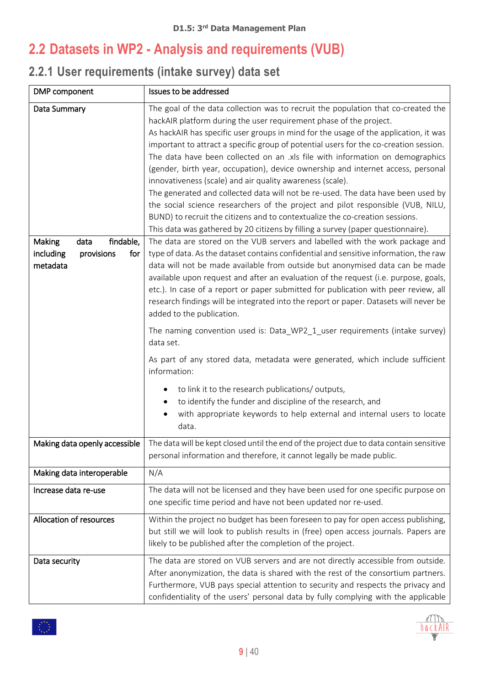### <span id="page-8-0"></span>**2.2 Datasets in WP2 - Analysis and requirements (VUB)**

### <span id="page-8-1"></span>**2.2.1 User requirements (intake survey) data set**

| DMP component                                                                             | Issues to be addressed                                                                                                                                                                                                                                                                                                                                                                                                                                                                                                                                                                                                                                                                                                                                                                                                                                                                                                                                                                                                                                                                                                                                                                                                                                                                                                                                                                                                                                                              |
|-------------------------------------------------------------------------------------------|-------------------------------------------------------------------------------------------------------------------------------------------------------------------------------------------------------------------------------------------------------------------------------------------------------------------------------------------------------------------------------------------------------------------------------------------------------------------------------------------------------------------------------------------------------------------------------------------------------------------------------------------------------------------------------------------------------------------------------------------------------------------------------------------------------------------------------------------------------------------------------------------------------------------------------------------------------------------------------------------------------------------------------------------------------------------------------------------------------------------------------------------------------------------------------------------------------------------------------------------------------------------------------------------------------------------------------------------------------------------------------------------------------------------------------------------------------------------------------------|
| Data Summary<br>findable,<br>Making<br>data<br>including<br>provisions<br>for<br>metadata | The goal of the data collection was to recruit the population that co-created the<br>hackAIR platform during the user requirement phase of the project.<br>As hackAIR has specific user groups in mind for the usage of the application, it was<br>important to attract a specific group of potential users for the co-creation session.<br>The data have been collected on an .xls file with information on demographics<br>(gender, birth year, occupation), device ownership and internet access, personal<br>innovativeness (scale) and air quality awareness (scale).<br>The generated and collected data will not be re-used. The data have been used by<br>the social science researchers of the project and pilot responsible (VUB, NILU,<br>BUND) to recruit the citizens and to contextualize the co-creation sessions.<br>This data was gathered by 20 citizens by filling a survey (paper questionnaire).<br>The data are stored on the VUB servers and labelled with the work package and<br>type of data. As the dataset contains confidential and sensitive information, the raw<br>data will not be made available from outside but anonymised data can be made<br>available upon request and after an evaluation of the request (i.e. purpose, goals,<br>etc.). In case of a report or paper submitted for publication with peer review, all<br>research findings will be integrated into the report or paper. Datasets will never be<br>added to the publication. |
|                                                                                           | The naming convention used is: Data_WP2_1_user requirements (intake survey)<br>data set.<br>As part of any stored data, metadata were generated, which include sufficient<br>information:                                                                                                                                                                                                                                                                                                                                                                                                                                                                                                                                                                                                                                                                                                                                                                                                                                                                                                                                                                                                                                                                                                                                                                                                                                                                                           |
|                                                                                           | to link it to the research publications/outputs,<br>to identify the funder and discipline of the research, and<br>with appropriate keywords to help external and internal users to locate<br>data.                                                                                                                                                                                                                                                                                                                                                                                                                                                                                                                                                                                                                                                                                                                                                                                                                                                                                                                                                                                                                                                                                                                                                                                                                                                                                  |
| Making data openly accessible                                                             | The data will be kept closed until the end of the project due to data contain sensitive<br>personal information and therefore, it cannot legally be made public.                                                                                                                                                                                                                                                                                                                                                                                                                                                                                                                                                                                                                                                                                                                                                                                                                                                                                                                                                                                                                                                                                                                                                                                                                                                                                                                    |
| Making data interoperable                                                                 | N/A                                                                                                                                                                                                                                                                                                                                                                                                                                                                                                                                                                                                                                                                                                                                                                                                                                                                                                                                                                                                                                                                                                                                                                                                                                                                                                                                                                                                                                                                                 |
| Increase data re-use                                                                      | The data will not be licensed and they have been used for one specific purpose on<br>one specific time period and have not been updated nor re-used.                                                                                                                                                                                                                                                                                                                                                                                                                                                                                                                                                                                                                                                                                                                                                                                                                                                                                                                                                                                                                                                                                                                                                                                                                                                                                                                                |
| Allocation of resources                                                                   | Within the project no budget has been foreseen to pay for open access publishing,<br>but still we will look to publish results in (free) open access journals. Papers are<br>likely to be published after the completion of the project.                                                                                                                                                                                                                                                                                                                                                                                                                                                                                                                                                                                                                                                                                                                                                                                                                                                                                                                                                                                                                                                                                                                                                                                                                                            |
| Data security                                                                             | The data are stored on VUB servers and are not directly accessible from outside.<br>After anonymization, the data is shared with the rest of the consortium partners.<br>Furthermore, VUB pays special attention to security and respects the privacy and<br>confidentiality of the users' personal data by fully complying with the applicable                                                                                                                                                                                                                                                                                                                                                                                                                                                                                                                                                                                                                                                                                                                                                                                                                                                                                                                                                                                                                                                                                                                                     |



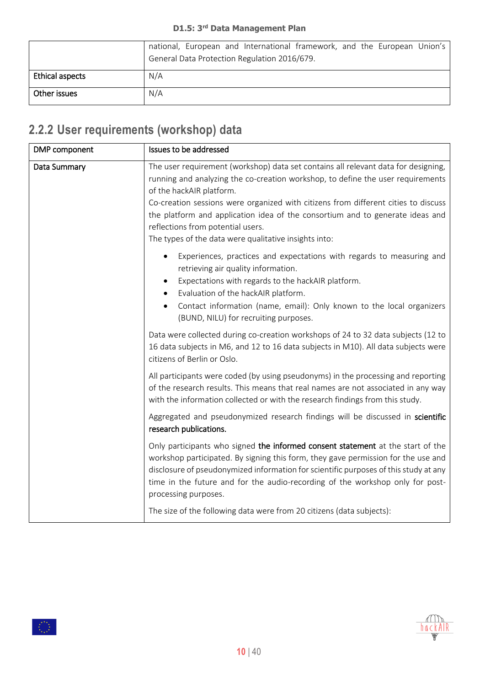|                        | national, European and International framework, and the European Union's<br>General Data Protection Regulation 2016/679. |
|------------------------|--------------------------------------------------------------------------------------------------------------------------|
| <b>Ethical aspects</b> | N/A                                                                                                                      |
| Other issues           | N/A                                                                                                                      |

### <span id="page-9-0"></span>**2.2.2 User requirements (workshop) data**

 $|\langle \rangle \rangle$ 

| DMP component | Issues to be addressed                                                                                                                                                                                                                                                                                                                                                                                                                                                 |
|---------------|------------------------------------------------------------------------------------------------------------------------------------------------------------------------------------------------------------------------------------------------------------------------------------------------------------------------------------------------------------------------------------------------------------------------------------------------------------------------|
| Data Summary  | The user requirement (workshop) data set contains all relevant data for designing,<br>running and analyzing the co-creation workshop, to define the user requirements<br>of the hackAIR platform.<br>Co-creation sessions were organized with citizens from different cities to discuss<br>the platform and application idea of the consortium and to generate ideas and<br>reflections from potential users.<br>The types of the data were qualitative insights into: |
|               | Experiences, practices and expectations with regards to measuring and<br>retrieving air quality information.<br>Expectations with regards to the hackAIR platform.<br>Evaluation of the hackAIR platform.<br>Contact information (name, email): Only known to the local organizers<br>(BUND, NILU) for recruiting purposes.                                                                                                                                            |
|               | Data were collected during co-creation workshops of 24 to 32 data subjects (12 to<br>16 data subjects in M6, and 12 to 16 data subjects in M10). All data subjects were<br>citizens of Berlin or Oslo.                                                                                                                                                                                                                                                                 |
|               | All participants were coded (by using pseudonyms) in the processing and reporting<br>of the research results. This means that real names are not associated in any way<br>with the information collected or with the research findings from this study.                                                                                                                                                                                                                |
|               | Aggregated and pseudonymized research findings will be discussed in scientific<br>research publications.                                                                                                                                                                                                                                                                                                                                                               |
|               | Only participants who signed the informed consent statement at the start of the<br>workshop participated. By signing this form, they gave permission for the use and<br>disclosure of pseudonymized information for scientific purposes of this study at any<br>time in the future and for the audio-recording of the workshop only for post-<br>processing purposes.                                                                                                  |
|               | The size of the following data were from 20 citizens (data subjects):                                                                                                                                                                                                                                                                                                                                                                                                  |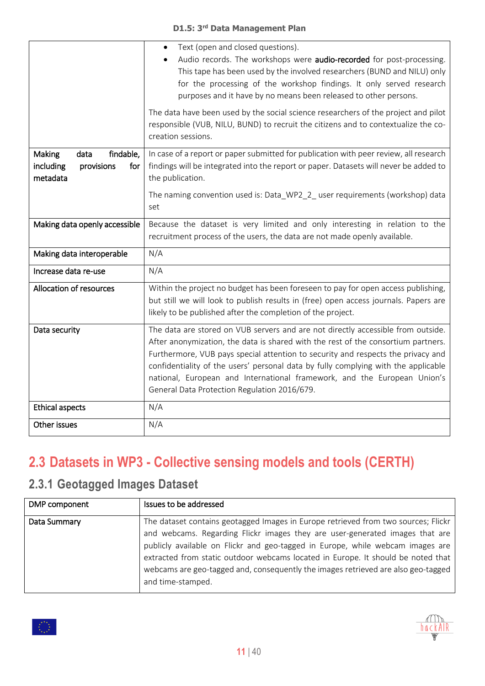|                                                                           | Text (open and closed questions).<br>$\bullet$<br>Audio records. The workshops were audio-recorded for post-processing.<br>This tape has been used by the involved researchers (BUND and NILU) only<br>for the processing of the workshop findings. It only served research<br>purposes and it have by no means been released to other persons.<br>The data have been used by the social science researchers of the project and pilot<br>responsible (VUB, NILU, BUND) to recruit the citizens and to contextualize the co-<br>creation sessions. |
|---------------------------------------------------------------------------|---------------------------------------------------------------------------------------------------------------------------------------------------------------------------------------------------------------------------------------------------------------------------------------------------------------------------------------------------------------------------------------------------------------------------------------------------------------------------------------------------------------------------------------------------|
| findable,<br>Making<br>data<br>including<br>provisions<br>for<br>metadata | In case of a report or paper submitted for publication with peer review, all research<br>findings will be integrated into the report or paper. Datasets will never be added to<br>the publication.                                                                                                                                                                                                                                                                                                                                                |
|                                                                           | The naming convention used is: Data_WP2_2_ user requirements (workshop) data<br>set                                                                                                                                                                                                                                                                                                                                                                                                                                                               |
| Making data openly accessible                                             | Because the dataset is very limited and only interesting in relation to the<br>recruitment process of the users, the data are not made openly available.                                                                                                                                                                                                                                                                                                                                                                                          |
| Making data interoperable                                                 | N/A                                                                                                                                                                                                                                                                                                                                                                                                                                                                                                                                               |
| Increase data re-use                                                      | N/A                                                                                                                                                                                                                                                                                                                                                                                                                                                                                                                                               |
| Allocation of resources                                                   | Within the project no budget has been foreseen to pay for open access publishing,<br>but still we will look to publish results in (free) open access journals. Papers are<br>likely to be published after the completion of the project.                                                                                                                                                                                                                                                                                                          |
| Data security                                                             | The data are stored on VUB servers and are not directly accessible from outside.<br>After anonymization, the data is shared with the rest of the consortium partners.<br>Furthermore, VUB pays special attention to security and respects the privacy and<br>confidentiality of the users' personal data by fully complying with the applicable<br>national, European and International framework, and the European Union's<br>General Data Protection Regulation 2016/679.                                                                       |
| <b>Ethical aspects</b>                                                    | N/A                                                                                                                                                                                                                                                                                                                                                                                                                                                                                                                                               |
| Other issues                                                              | N/A                                                                                                                                                                                                                                                                                                                                                                                                                                                                                                                                               |

# <span id="page-10-0"></span>**2.3 Datasets in WP3 - Collective sensing models and tools (CERTH)**

#### <span id="page-10-1"></span>**2.3.1 Geotagged Images Dataset**

| DMP component | Issues to be addressed                                                                                                                                                                                                                                                                                                                                                                                                                               |
|---------------|------------------------------------------------------------------------------------------------------------------------------------------------------------------------------------------------------------------------------------------------------------------------------------------------------------------------------------------------------------------------------------------------------------------------------------------------------|
| Data Summary  | The dataset contains geotagged Images in Europe retrieved from two sources; Flickr<br>and webcams. Regarding Flickr images they are user-generated images that are  <br>publicly available on Flickr and geo-tagged in Europe, while webcam images are<br>extracted from static outdoor webcams located in Europe. It should be noted that<br>webcams are geo-tagged and, consequently the images retrieved are also geo-tagged<br>and time-stamped. |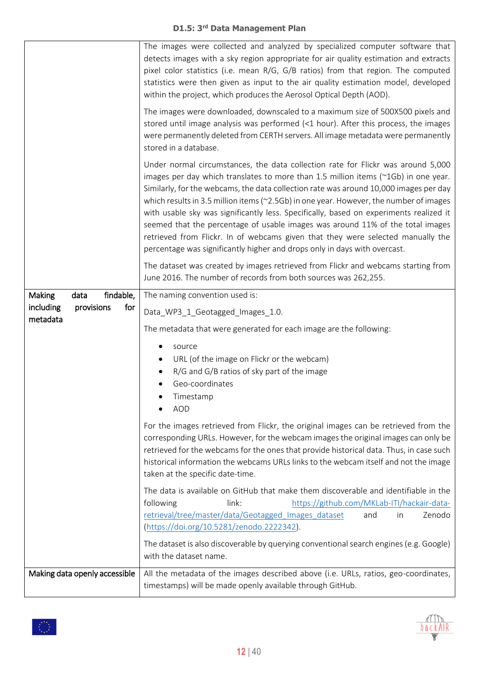|                                | The images were collected and analyzed by specialized computer software that<br>detects images with a sky region appropriate for air quality estimation and extracts<br>pixel color statistics (i.e. mean R/G, G/B ratios) from that region. The computed<br>statistics were then given as input to the air quality estimation model, developed<br>within the project, which produces the Aerosol Optical Depth (AOD).                                                                                                                                                                                                                                                                                                    |
|--------------------------------|---------------------------------------------------------------------------------------------------------------------------------------------------------------------------------------------------------------------------------------------------------------------------------------------------------------------------------------------------------------------------------------------------------------------------------------------------------------------------------------------------------------------------------------------------------------------------------------------------------------------------------------------------------------------------------------------------------------------------|
|                                | The images were downloaded, downscaled to a maximum size of 500X500 pixels and<br>stored until image analysis was performed (<1 hour). After this process, the images<br>were permanently deleted from CERTH servers. All image metadata were permanently<br>stored in a database.                                                                                                                                                                                                                                                                                                                                                                                                                                        |
|                                | Under normal circumstances, the data collection rate for Flickr was around 5,000<br>images per day which translates to more than 1.5 million items ( $\approx$ 1Gb) in one year.<br>Similarly, for the webcams, the data collection rate was around 10,000 images per day<br>which results in 3.5 million items ( $\approx$ 2.5Gb) in one year. However, the number of images<br>with usable sky was significantly less. Specifically, based on experiments realized it<br>seemed that the percentage of usable images was around 11% of the total images<br>retrieved from Flickr. In of webcams given that they were selected manually the<br>percentage was significantly higher and drops only in days with overcast. |
|                                | The dataset was created by images retrieved from Flickr and webcams starting from<br>June 2016. The number of records from both sources was 262,255.                                                                                                                                                                                                                                                                                                                                                                                                                                                                                                                                                                      |
| findable,<br>Making<br>data    | The naming convention used is:                                                                                                                                                                                                                                                                                                                                                                                                                                                                                                                                                                                                                                                                                            |
| including<br>for<br>provisions | Data_WP3_1_Geotagged_Images_1.0.                                                                                                                                                                                                                                                                                                                                                                                                                                                                                                                                                                                                                                                                                          |
| metadata                       | The metadata that were generated for each image are the following:                                                                                                                                                                                                                                                                                                                                                                                                                                                                                                                                                                                                                                                        |
|                                | source<br>URL (of the image on Flickr or the webcam)<br>R/G and G/B ratios of sky part of the image<br>Geo-coordinates<br>Timestamp<br>AOD<br>$\bullet$                                                                                                                                                                                                                                                                                                                                                                                                                                                                                                                                                                   |
|                                | For the images retrieved from Flickr, the original images can be retrieved from the<br>corresponding URLs. However, for the webcam images the original images can only be<br>retrieved for the webcams for the ones that provide historical data. Thus, in case such<br>historical information the webcams URLs links to the webcam itself and not the image<br>taken at the specific date-time.                                                                                                                                                                                                                                                                                                                          |
|                                | The data is available on GitHub that make them discoverable and identifiable in the<br>https://github.com/MKLab-ITI/hackair-data-<br>following<br>link:<br>retrieval/tree/master/data/Geotagged Images dataset<br>Zenodo<br>and<br>in<br>(https://doi.org/10.5281/zenodo.2222342).                                                                                                                                                                                                                                                                                                                                                                                                                                        |
|                                | The dataset is also discoverable by querying conventional search engines (e.g. Google)<br>with the dataset name.                                                                                                                                                                                                                                                                                                                                                                                                                                                                                                                                                                                                          |
| Making data openly accessible  | All the metadata of the images described above (i.e. URLs, ratios, geo-coordinates,<br>timestamps) will be made openly available through GitHub.                                                                                                                                                                                                                                                                                                                                                                                                                                                                                                                                                                          |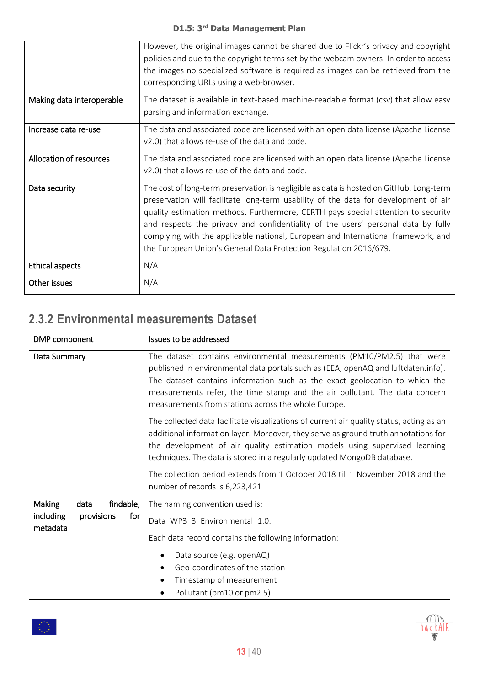|                           | However, the original images cannot be shared due to Flickr's privacy and copyright<br>policies and due to the copyright terms set by the webcam owners. In order to access<br>the images no specialized software is required as images can be retrieved from the<br>corresponding URLs using a web-browser.                                                                                                                                                                                                       |
|---------------------------|--------------------------------------------------------------------------------------------------------------------------------------------------------------------------------------------------------------------------------------------------------------------------------------------------------------------------------------------------------------------------------------------------------------------------------------------------------------------------------------------------------------------|
| Making data interoperable | The dataset is available in text-based machine-readable format (csv) that allow easy<br>parsing and information exchange.                                                                                                                                                                                                                                                                                                                                                                                          |
| Increase data re-use      | The data and associated code are licensed with an open data license (Apache License<br>v2.0) that allows re-use of the data and code.                                                                                                                                                                                                                                                                                                                                                                              |
| Allocation of resources   | The data and associated code are licensed with an open data license (Apache License<br>v2.0) that allows re-use of the data and code.                                                                                                                                                                                                                                                                                                                                                                              |
| Data security             | The cost of long-term preservation is negligible as data is hosted on GitHub. Long-term<br>preservation will facilitate long-term usability of the data for development of air<br>quality estimation methods. Furthermore, CERTH pays special attention to security<br>and respects the privacy and confidentiality of the users' personal data by fully<br>complying with the applicable national, European and International framework, and<br>the European Union's General Data Protection Regulation 2016/679. |
| <b>Ethical aspects</b>    | N/A                                                                                                                                                                                                                                                                                                                                                                                                                                                                                                                |
| Other issues              | N/A                                                                                                                                                                                                                                                                                                                                                                                                                                                                                                                |

#### <span id="page-12-0"></span>**2.3.2 Environmental measurements Dataset**

| DMP component                                                                    | Issues to be addressed                                                                                                                                                                                                                                                                                                                                                                                                                                      |
|----------------------------------------------------------------------------------|-------------------------------------------------------------------------------------------------------------------------------------------------------------------------------------------------------------------------------------------------------------------------------------------------------------------------------------------------------------------------------------------------------------------------------------------------------------|
| Data Summary                                                                     | The dataset contains environmental measurements (PM10/PM2.5) that were<br>published in environmental data portals such as (EEA, openAQ and luftdaten.info).<br>The dataset contains information such as the exact geolocation to which the<br>measurements refer, the time stamp and the air pollutant. The data concern<br>measurements from stations across the whole Europe.                                                                             |
|                                                                                  | The collected data facilitate visualizations of current air quality status, acting as an<br>additional information layer. Moreover, they serve as ground truth annotations for<br>the development of air quality estimation models using supervised learning<br>techniques. The data is stored in a regularly updated MongoDB database.<br>The collection period extends from 1 October 2018 till 1 November 2018 and the<br>number of records is 6,223,421 |
| findable,<br><b>Making</b><br>data<br>including<br>provisions<br>for<br>metadata | The naming convention used is:<br>Data_WP3_3_Environmental_1.0.<br>Each data record contains the following information:<br>Data source (e.g. openAQ)<br>Geo-coordinates of the station<br>Timestamp of measurement<br>Pollutant (pm10 or pm2.5)                                                                                                                                                                                                             |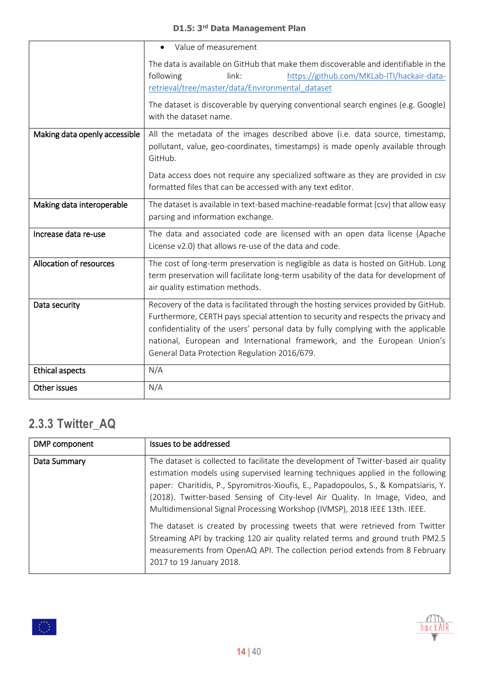|                               | Value of measurement                                                                                                                                                                                                                                                                                 |
|-------------------------------|------------------------------------------------------------------------------------------------------------------------------------------------------------------------------------------------------------------------------------------------------------------------------------------------------|
|                               | The data is available on GitHub that make them discoverable and identifiable in the<br>following<br>link:<br>https://github.com/MKLab-ITI/hackair-data-<br>retrieval/tree/master/data/Environmental_dataset                                                                                          |
|                               | The dataset is discoverable by querying conventional search engines (e.g. Google)<br>with the dataset name.                                                                                                                                                                                          |
| Making data openly accessible | All the metadata of the images described above (i.e. data source, timestamp,<br>pollutant, value, geo-coordinates, timestamps) is made openly available through<br>GitHub.                                                                                                                           |
|                               | Data access does not require any specialized software as they are provided in csv<br>formatted files that can be accessed with any text editor.                                                                                                                                                      |
| Making data interoperable     | The dataset is available in text-based machine-readable format (csv) that allow easy<br>parsing and information exchange.                                                                                                                                                                            |
| Increase data re-use          | The data and associated code are licensed with an open data license (Apache<br>License v2.0) that allows re-use of the data and code.                                                                                                                                                                |
| Allocation of resources       | The cost of long-term preservation is negligible as data is hosted on GitHub. Long<br>term preservation will facilitate long-term usability of the data for development of<br>air quality estimation methods.                                                                                        |
| Data security                 | Recovery of the data is facilitated through the hosting services provided by GitHub.                                                                                                                                                                                                                 |
|                               | Furthermore, CERTH pays special attention to security and respects the privacy and<br>confidentiality of the users' personal data by fully complying with the applicable<br>national, European and International framework, and the European Union's<br>General Data Protection Regulation 2016/679. |
| <b>Ethical aspects</b>        | N/A                                                                                                                                                                                                                                                                                                  |
| Other issues                  | N/A                                                                                                                                                                                                                                                                                                  |

#### <span id="page-13-0"></span>**2.3.3 Twitter\_AQ**

| DMP component | Issues to be addressed                                                                                                                                                                                                                                                                                                                                                                                                                                                                                                                                                                                                                                                                                     |
|---------------|------------------------------------------------------------------------------------------------------------------------------------------------------------------------------------------------------------------------------------------------------------------------------------------------------------------------------------------------------------------------------------------------------------------------------------------------------------------------------------------------------------------------------------------------------------------------------------------------------------------------------------------------------------------------------------------------------------|
| Data Summary  | The dataset is collected to facilitate the development of Twitter-based air quality<br>estimation models using supervised learning techniques applied in the following<br>paper: Charitidis, P., Spyromitros-Xioufis, E., Papadopoulos, S., & Kompatsiaris, Y.<br>(2018). Twitter-based Sensing of City-level Air Quality. In Image, Video, and<br>Multidimensional Signal Processing Workshop (IVMSP), 2018 IEEE 13th. IEEE.<br>The dataset is created by processing tweets that were retrieved from Twitter<br>Streaming API by tracking 120 air quality related terms and ground truth PM2.5<br>measurements from OpenAQ API. The collection period extends from 8 February<br>2017 to 19 January 2018. |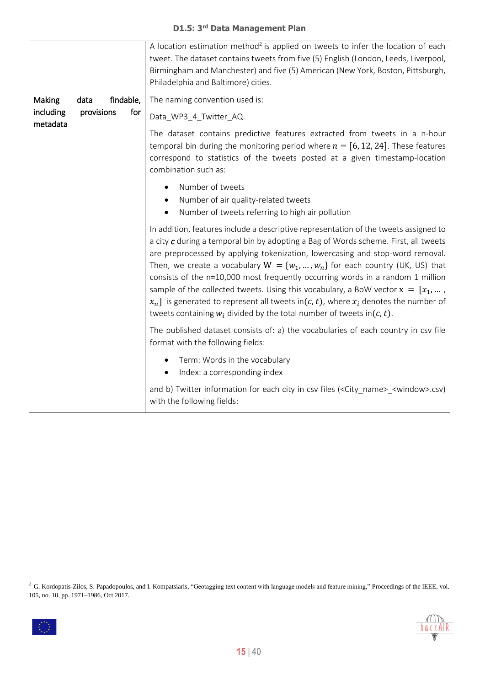|                       |            |           | A location estimation method <sup>2</sup> is applied on tweets to infer the location of each<br>tweet. The dataset contains tweets from five (5) English (London, Leeds, Liverpool,<br>Birmingham and Manchester) and five (5) American (New York, Boston, Pittsburgh,<br>Philadelphia and Baltimore) cities.                                                                                                                                                                                                                                                                                                                                                                                       |
|-----------------------|------------|-----------|-----------------------------------------------------------------------------------------------------------------------------------------------------------------------------------------------------------------------------------------------------------------------------------------------------------------------------------------------------------------------------------------------------------------------------------------------------------------------------------------------------------------------------------------------------------------------------------------------------------------------------------------------------------------------------------------------------|
| Making                | data       | findable, | The naming convention used is:                                                                                                                                                                                                                                                                                                                                                                                                                                                                                                                                                                                                                                                                      |
| including<br>metadata | provisions | for       | Data_WP3_4_Twitter_AQ.                                                                                                                                                                                                                                                                                                                                                                                                                                                                                                                                                                                                                                                                              |
|                       |            |           | The dataset contains predictive features extracted from tweets in a n-hour<br>temporal bin during the monitoring period where $n = [6, 12, 24]$ . These features<br>correspond to statistics of the tweets posted at a given timestamp-location<br>combination such as:                                                                                                                                                                                                                                                                                                                                                                                                                             |
|                       |            |           | Number of tweets<br>Number of air quality-related tweets<br>Number of tweets referring to high air pollution                                                                                                                                                                                                                                                                                                                                                                                                                                                                                                                                                                                        |
|                       |            |           | In addition, features include a descriptive representation of the tweets assigned to<br>a city c during a temporal bin by adopting a Bag of Words scheme. First, all tweets<br>are preprocessed by applying tokenization, lowercasing and stop-word removal.<br>Then, we create a vocabulary $W = \{w_1, , w_n\}$ for each country (UK, US) that<br>consists of the n=10,000 most frequently occurring words in a random 1 million<br>sample of the collected tweets. Using this vocabulary, a BoW vector $x = [x_1,  ,$<br>$x_n$ ] is generated to represent all tweets in(c, t), where $x_i$ denotes the number of<br>tweets containing $w_i$ divided by the total number of tweets in( $c, t$ ). |
|                       |            |           | The published dataset consists of: a) the vocabularies of each country in csv file<br>format with the following fields:                                                                                                                                                                                                                                                                                                                                                                                                                                                                                                                                                                             |
|                       |            |           | Term: Words in the vocabulary<br>Index: a corresponding index                                                                                                                                                                                                                                                                                                                                                                                                                                                                                                                                                                                                                                       |
|                       |            |           | and b) Twitter information for each city in csv files ( <city_name>_<window>.csv)<br/>with the following fields:</window></city_name>                                                                                                                                                                                                                                                                                                                                                                                                                                                                                                                                                               |

 $\overline{a}$ 

30

 $2$  G. Kordopatis-Zilos, S. Papadopoulos, and I. Kompatsiaris, "Geotagging text content with language models and feature mining," Proceedings of the IEEE, vol. 105, no. 10, pp. 1971–1986, Oct 2017.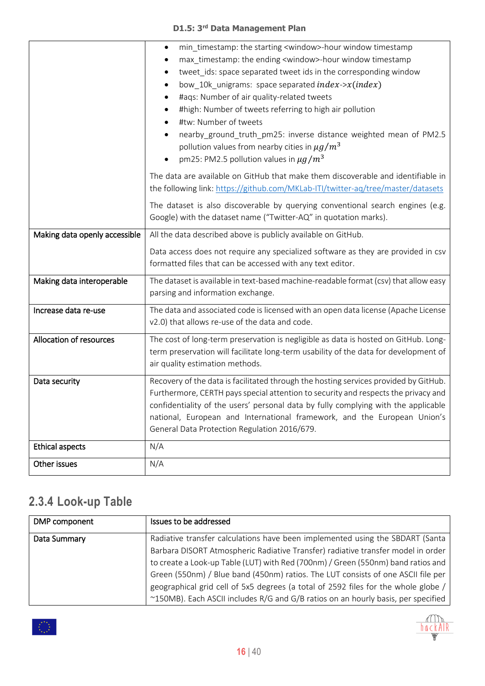|                               | min timestamp: the starting <window>-hour window timestamp<br/><math>\bullet</math><br/>max_timestamp: the ending <window>-hour window timestamp<br/>tweet_ids: space separated tweet ids in the corresponding window<br/>bow_10k_unigrams: space separated index-&gt;<math>x(index)</math><br/>#aqs: Number of air quality-related tweets<br/>#high: Number of tweets referring to high air pollution<br/>#tw: Number of tweets</window></window> |
|-------------------------------|----------------------------------------------------------------------------------------------------------------------------------------------------------------------------------------------------------------------------------------------------------------------------------------------------------------------------------------------------------------------------------------------------------------------------------------------------|
|                               | nearby_ground_truth_pm25: inverse distance weighted mean of PM2.5<br>pollution values from nearby cities in $\mu g/m^3$<br>pm25: PM2.5 pollution values in $\mu g/m^3$                                                                                                                                                                                                                                                                             |
|                               | The data are available on GitHub that make them discoverable and identifiable in<br>the following link: https://github.com/MKLab-ITI/twitter-aq/tree/master/datasets                                                                                                                                                                                                                                                                               |
|                               | The dataset is also discoverable by querying conventional search engines (e.g.<br>Google) with the dataset name ("Twitter-AQ" in quotation marks).                                                                                                                                                                                                                                                                                                 |
| Making data openly accessible | All the data described above is publicly available on GitHub.                                                                                                                                                                                                                                                                                                                                                                                      |
|                               | Data access does not require any specialized software as they are provided in csv<br>formatted files that can be accessed with any text editor.                                                                                                                                                                                                                                                                                                    |
| Making data interoperable     | The dataset is available in text-based machine-readable format (csv) that allow easy<br>parsing and information exchange.                                                                                                                                                                                                                                                                                                                          |
| Increase data re-use          | The data and associated code is licensed with an open data license (Apache License<br>v2.0) that allows re-use of the data and code.                                                                                                                                                                                                                                                                                                               |
| Allocation of resources       | The cost of long-term preservation is negligible as data is hosted on GitHub. Long-<br>term preservation will facilitate long-term usability of the data for development of<br>air quality estimation methods.                                                                                                                                                                                                                                     |
| Data security                 | Recovery of the data is facilitated through the hosting services provided by GitHub.<br>Furthermore, CERTH pays special attention to security and respects the privacy and<br>confidentiality of the users' personal data by fully complying with the applicable<br>national, European and International framework, and the European Union's<br>General Data Protection Regulation 2016/679.                                                       |
| <b>Ethical aspects</b>        | N/A                                                                                                                                                                                                                                                                                                                                                                                                                                                |
| Other issues                  | N/A                                                                                                                                                                                                                                                                                                                                                                                                                                                |

### <span id="page-15-0"></span>**2.3.4 Look-up Table**

| DMP component | Issues to be addressed                                                             |
|---------------|------------------------------------------------------------------------------------|
| Data Summary  | Radiative transfer calculations have been implemented using the SBDART (Santa)     |
|               | Barbara DISORT Atmospheric Radiative Transfer) radiative transfer model in order   |
|               | to create a Look-up Table (LUT) with Red (700nm) / Green (550nm) band ratios and   |
|               | Green (550nm) / Blue band (450nm) ratios. The LUT consists of one ASCII file per   |
|               | geographical grid cell of 5x5 degrees (a total of 2592 files for the whole globe / |
|               | ~150MB). Each ASCII includes R/G and G/B ratios on an hourly basis, per specified  |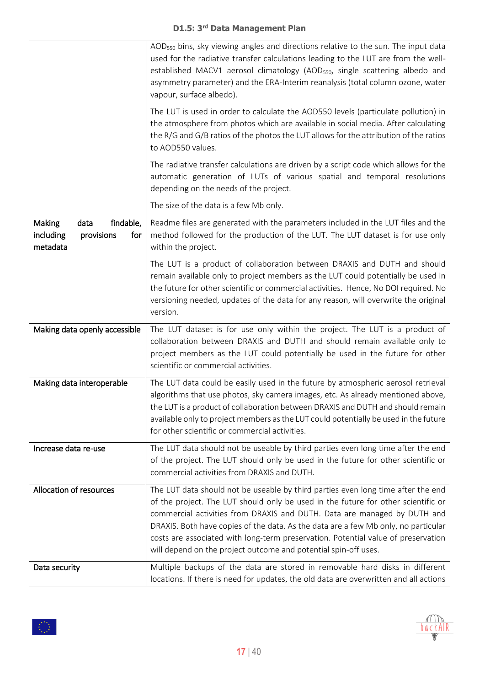|                                                                                  | AOD <sub>550</sub> bins, sky viewing angles and directions relative to the sun. The input data<br>used for the radiative transfer calculations leading to the LUT are from the well-<br>established MACV1 aerosol climatology (AOD <sub>550</sub> , single scattering albedo and<br>asymmetry parameter) and the ERA-Interim reanalysis (total column ozone, water<br>vapour, surface albedo).                                                                                                  |
|----------------------------------------------------------------------------------|-------------------------------------------------------------------------------------------------------------------------------------------------------------------------------------------------------------------------------------------------------------------------------------------------------------------------------------------------------------------------------------------------------------------------------------------------------------------------------------------------|
|                                                                                  | The LUT is used in order to calculate the AOD550 levels (particulate pollution) in<br>the atmosphere from photos which are available in social media. After calculating<br>the R/G and G/B ratios of the photos the LUT allows for the attribution of the ratios<br>to AOD550 values.                                                                                                                                                                                                           |
|                                                                                  | The radiative transfer calculations are driven by a script code which allows for the<br>automatic generation of LUTs of various spatial and temporal resolutions<br>depending on the needs of the project.                                                                                                                                                                                                                                                                                      |
|                                                                                  | The size of the data is a few Mb only.                                                                                                                                                                                                                                                                                                                                                                                                                                                          |
| <b>Making</b><br>findable,<br>data<br>including<br>provisions<br>for<br>metadata | Readme files are generated with the parameters included in the LUT files and the<br>method followed for the production of the LUT. The LUT dataset is for use only<br>within the project.                                                                                                                                                                                                                                                                                                       |
|                                                                                  | The LUT is a product of collaboration between DRAXIS and DUTH and should<br>remain available only to project members as the LUT could potentially be used in<br>the future for other scientific or commercial activities. Hence, No DOI required. No<br>versioning needed, updates of the data for any reason, will overwrite the original<br>version.                                                                                                                                          |
| Making data openly accessible                                                    | The LUT dataset is for use only within the project. The LUT is a product of<br>collaboration between DRAXIS and DUTH and should remain available only to<br>project members as the LUT could potentially be used in the future for other<br>scientific or commercial activities.                                                                                                                                                                                                                |
| Making data interoperable                                                        | The LUT data could be easily used in the future by atmospheric aerosol retrieval<br>algorithms that use photos, sky camera images, etc. As already mentioned above,<br>the LUT is a product of collaboration between DRAXIS and DUTH and should remain<br>available only to project members as the LUT could potentially be used in the future<br>for other scientific or commercial activities.                                                                                                |
| Increase data re-use                                                             | The LUT data should not be useable by third parties even long time after the end<br>of the project. The LUT should only be used in the future for other scientific or<br>commercial activities from DRAXIS and DUTH.                                                                                                                                                                                                                                                                            |
| Allocation of resources                                                          | The LUT data should not be useable by third parties even long time after the end<br>of the project. The LUT should only be used in the future for other scientific or<br>commercial activities from DRAXIS and DUTH. Data are managed by DUTH and<br>DRAXIS. Both have copies of the data. As the data are a few Mb only, no particular<br>costs are associated with long-term preservation. Potential value of preservation<br>will depend on the project outcome and potential spin-off uses. |
| Data security                                                                    | Multiple backups of the data are stored in removable hard disks in different<br>locations. If there is need for updates, the old data are overwritten and all actions                                                                                                                                                                                                                                                                                                                           |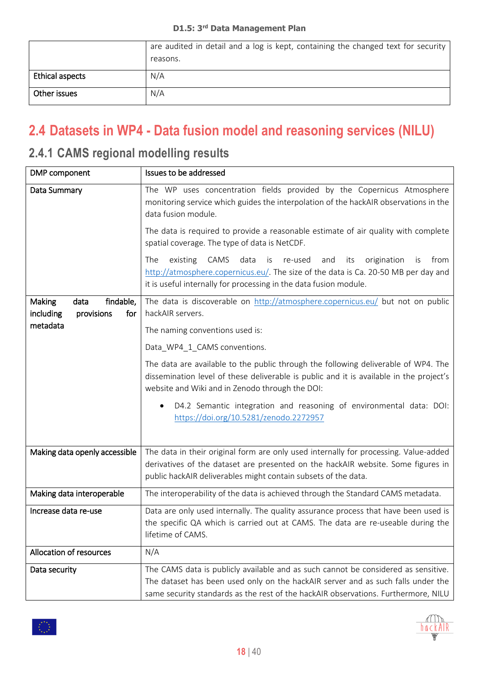|                 | are audited in detail and a log is kept, containing the changed text for security<br>reasons. |
|-----------------|-----------------------------------------------------------------------------------------------|
| Ethical aspects | N/A                                                                                           |
| Other issues    | N/A                                                                                           |

### <span id="page-17-0"></span>**2.4 Datasets in WP4 - Data fusion model and reasoning services (NILU)**

#### <span id="page-17-1"></span>**2.4.1 CAMS regional modelling results**

| DMP component                                                 | Issues to be addressed                                                                                                                                                                                                                                       |
|---------------------------------------------------------------|--------------------------------------------------------------------------------------------------------------------------------------------------------------------------------------------------------------------------------------------------------------|
| Data Summary                                                  | The WP uses concentration fields provided by the Copernicus Atmosphere<br>monitoring service which guides the interpolation of the hackAIR observations in the<br>data fusion module.                                                                        |
|                                                               | The data is required to provide a reasonable estimate of air quality with complete<br>spatial coverage. The type of data is NetCDF.                                                                                                                          |
|                                                               | CAMS<br>data<br>origination<br>The<br>existing<br>is<br>re-used<br>and<br>its<br>is<br>from<br>http://atmosphere.copernicus.eu/. The size of the data is Ca. 20-50 MB per day and<br>it is useful internally for processing in the data fusion module.       |
| findable,<br>Making<br>data<br>including<br>provisions<br>for | The data is discoverable on http://atmosphere.copernicus.eu/ but not on public<br>hackAIR servers.                                                                                                                                                           |
| metadata                                                      | The naming conventions used is:                                                                                                                                                                                                                              |
|                                                               | Data_WP4_1_CAMS conventions.                                                                                                                                                                                                                                 |
|                                                               | The data are available to the public through the following deliverable of WP4. The<br>dissemination level of these deliverable is public and it is available in the project's<br>website and Wiki and in Zenodo through the DOI:                             |
|                                                               | D4.2 Semantic integration and reasoning of environmental data: DOI:<br>https://doi.org/10.5281/zenodo.2272957                                                                                                                                                |
| Making data openly accessible                                 | The data in their original form are only used internally for processing. Value-added                                                                                                                                                                         |
|                                                               | derivatives of the dataset are presented on the hackAIR website. Some figures in<br>public hackAIR deliverables might contain subsets of the data.                                                                                                           |
| Making data interoperable                                     | The interoperability of the data is achieved through the Standard CAMS metadata.                                                                                                                                                                             |
| Increase data re-use                                          | Data are only used internally. The quality assurance process that have been used is<br>the specific QA which is carried out at CAMS. The data are re-useable during the<br>lifetime of CAMS.                                                                 |
| Allocation of resources                                       | N/A                                                                                                                                                                                                                                                          |
| Data security                                                 | The CAMS data is publicly available and as such cannot be considered as sensitive.<br>The dataset has been used only on the hackAIR server and as such falls under the<br>same security standards as the rest of the hackAIR observations. Furthermore, NILU |

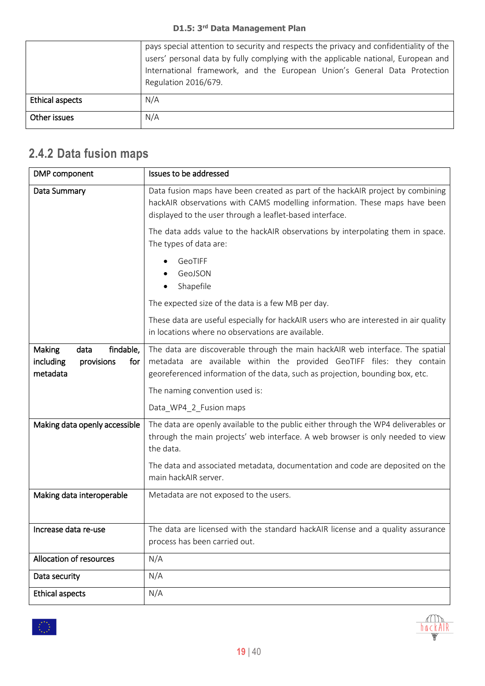|                 | pays special attention to security and respects the privacy and confidentiality of the<br>users' personal data by fully complying with the applicable national, European and<br>International framework, and the European Union's General Data Protection<br>Regulation 2016/679. |
|-----------------|-----------------------------------------------------------------------------------------------------------------------------------------------------------------------------------------------------------------------------------------------------------------------------------|
| Ethical aspects | N/A                                                                                                                                                                                                                                                                               |
| Other issues    | N/A                                                                                                                                                                                                                                                                               |

# <span id="page-18-0"></span>**2.4.2 Data fusion maps**

| DMP component                                                                    | Issues to be addressed                                                                                                                                                                                                                   |
|----------------------------------------------------------------------------------|------------------------------------------------------------------------------------------------------------------------------------------------------------------------------------------------------------------------------------------|
| Data Summary                                                                     | Data fusion maps have been created as part of the hackAIR project by combining<br>hackAIR observations with CAMS modelling information. These maps have been<br>displayed to the user through a leaflet-based interface.                 |
|                                                                                  | The data adds value to the hackAIR observations by interpolating them in space.<br>The types of data are:                                                                                                                                |
|                                                                                  | GeoTIFF<br>GeoJSON<br>Shapefile<br>٠                                                                                                                                                                                                     |
|                                                                                  | The expected size of the data is a few MB per day.                                                                                                                                                                                       |
|                                                                                  | These data are useful especially for hackAIR users who are interested in air quality<br>in locations where no observations are available.                                                                                                |
| findable,<br><b>Making</b><br>data<br>including<br>provisions<br>for<br>metadata | The data are discoverable through the main hackAIR web interface. The spatial<br>metadata are available within the provided GeoTIFF files: they contain<br>georeferenced information of the data, such as projection, bounding box, etc. |
|                                                                                  | The naming convention used is:                                                                                                                                                                                                           |
|                                                                                  | Data_WP4_2_Fusion maps                                                                                                                                                                                                                   |
| Making data openly accessible                                                    | The data are openly available to the public either through the WP4 deliverables or<br>through the main projects' web interface. A web browser is only needed to view<br>the data.                                                        |
|                                                                                  | The data and associated metadata, documentation and code are deposited on the<br>main hackAIR server.                                                                                                                                    |
| Making data interoperable                                                        | Metadata are not exposed to the users.                                                                                                                                                                                                   |
| Increase data re-use                                                             | The data are licensed with the standard hackAIR license and a quality assurance<br>process has been carried out.                                                                                                                         |
| Allocation of resources                                                          | N/A                                                                                                                                                                                                                                      |
| Data security                                                                    | N/A                                                                                                                                                                                                                                      |
| <b>Ethical aspects</b>                                                           | N/A                                                                                                                                                                                                                                      |

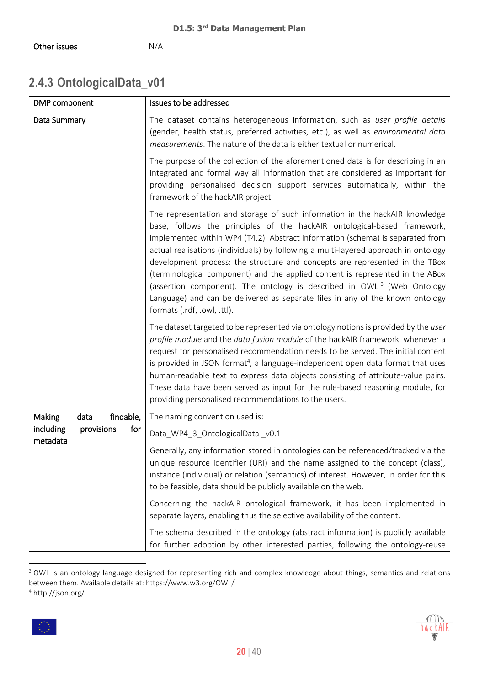#### <span id="page-19-0"></span>**2.4.3 OntologicalData\_v01**

| DMP component                              | Issues to be addressed                                                                                                                                                                                                                                                                                                                                                                                                                                                                                                                                                                                                                                                                                 |
|--------------------------------------------|--------------------------------------------------------------------------------------------------------------------------------------------------------------------------------------------------------------------------------------------------------------------------------------------------------------------------------------------------------------------------------------------------------------------------------------------------------------------------------------------------------------------------------------------------------------------------------------------------------------------------------------------------------------------------------------------------------|
| Data Summary                               | The dataset contains heterogeneous information, such as user profile details<br>(gender, health status, preferred activities, etc.), as well as environmental data<br>measurements. The nature of the data is either textual or numerical.                                                                                                                                                                                                                                                                                                                                                                                                                                                             |
|                                            | The purpose of the collection of the aforementioned data is for describing in an<br>integrated and formal way all information that are considered as important for<br>providing personalised decision support services automatically, within the<br>framework of the hackAIR project.                                                                                                                                                                                                                                                                                                                                                                                                                  |
|                                            | The representation and storage of such information in the hackAIR knowledge<br>base, follows the principles of the hackAIR ontological-based framework,<br>implemented within WP4 (T4.2). Abstract information (schema) is separated from<br>actual realisations (individuals) by following a multi-layered approach in ontology<br>development process: the structure and concepts are represented in the TBox<br>(terminological component) and the applied content is represented in the ABox<br>(assertion component). The ontology is described in OWL <sup>3</sup> (Web Ontology<br>Language) and can be delivered as separate files in any of the known ontology<br>formats (.rdf, .owl, .ttl). |
|                                            | The dataset targeted to be represented via ontology notions is provided by the user<br>profile module and the data fusion module of the hackAIR framework, whenever a<br>request for personalised recommendation needs to be served. The initial content<br>is provided in JSON format <sup>4</sup> , a language-independent open data format that uses<br>human-readable text to express data objects consisting of attribute-value pairs.<br>These data have been served as input for the rule-based reasoning module, for<br>providing personalised recommendations to the users.                                                                                                                   |
| findable,<br><b>Making</b><br>data         | The naming convention used is:                                                                                                                                                                                                                                                                                                                                                                                                                                                                                                                                                                                                                                                                         |
| including<br>provisions<br>for<br>metadata | Data_WP4_3_OntologicalData_v0.1.                                                                                                                                                                                                                                                                                                                                                                                                                                                                                                                                                                                                                                                                       |
|                                            | Generally, any information stored in ontologies can be referenced/tracked via the<br>unique resource identifier (URI) and the name assigned to the concept (class),<br>instance (individual) or relation (semantics) of interest. However, in order for this<br>to be feasible, data should be publicly available on the web.                                                                                                                                                                                                                                                                                                                                                                          |
|                                            | Concerning the hackAIR ontological framework, it has been implemented in<br>separate layers, enabling thus the selective availability of the content.                                                                                                                                                                                                                                                                                                                                                                                                                                                                                                                                                  |
|                                            | The schema described in the ontology (abstract information) is publicly available<br>for further adoption by other interested parties, following the ontology-reuse                                                                                                                                                                                                                                                                                                                                                                                                                                                                                                                                    |

<sup>&</sup>lt;sup>3</sup> OWL is an ontology language designed for representing rich and complex knowledge about things, semantics and relations between them. Available details at: https://www.w3.org/OWL/ <sup>4</sup> http://json.org/

 $\overline{\phantom{a}}$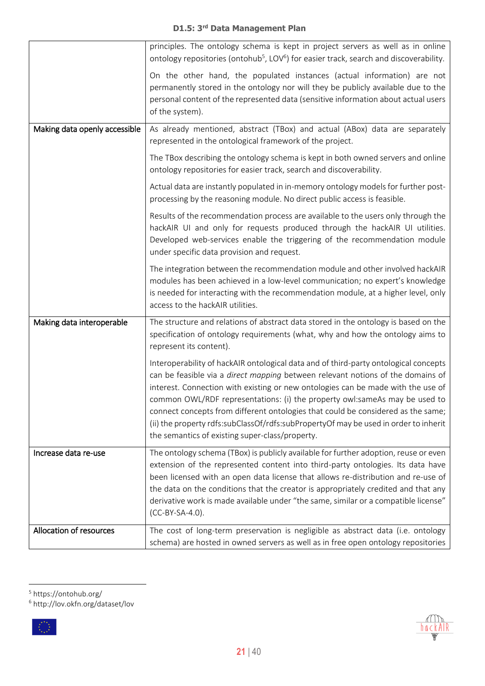|                               | principles. The ontology schema is kept in project servers as well as in online                                                                                                                                                                                                                                                                                                                                                                                                                                                                                          |
|-------------------------------|--------------------------------------------------------------------------------------------------------------------------------------------------------------------------------------------------------------------------------------------------------------------------------------------------------------------------------------------------------------------------------------------------------------------------------------------------------------------------------------------------------------------------------------------------------------------------|
|                               | ontology repositories (ontohub <sup>5</sup> , LOV <sup>6</sup> ) for easier track, search and discoverability.                                                                                                                                                                                                                                                                                                                                                                                                                                                           |
|                               | On the other hand, the populated instances (actual information) are not<br>permanently stored in the ontology nor will they be publicly available due to the<br>personal content of the represented data (sensitive information about actual users<br>of the system).                                                                                                                                                                                                                                                                                                    |
| Making data openly accessible | As already mentioned, abstract (TBox) and actual (ABox) data are separately<br>represented in the ontological framework of the project.                                                                                                                                                                                                                                                                                                                                                                                                                                  |
|                               | The TBox describing the ontology schema is kept in both owned servers and online<br>ontology repositories for easier track, search and discoverability.                                                                                                                                                                                                                                                                                                                                                                                                                  |
|                               | Actual data are instantly populated in in-memory ontology models for further post-<br>processing by the reasoning module. No direct public access is feasible.                                                                                                                                                                                                                                                                                                                                                                                                           |
|                               | Results of the recommendation process are available to the users only through the<br>hackAIR UI and only for requests produced through the hackAIR UI utilities.<br>Developed web-services enable the triggering of the recommendation module<br>under specific data provision and request.                                                                                                                                                                                                                                                                              |
|                               | The integration between the recommendation module and other involved hackAIR<br>modules has been achieved in a low-level communication; no expert's knowledge<br>is needed for interacting with the recommendation module, at a higher level, only<br>access to the hackAIR utilities.                                                                                                                                                                                                                                                                                   |
| Making data interoperable     | The structure and relations of abstract data stored in the ontology is based on the<br>specification of ontology requirements (what, why and how the ontology aims to<br>represent its content).                                                                                                                                                                                                                                                                                                                                                                         |
|                               | Interoperability of hackAIR ontological data and of third-party ontological concepts<br>can be feasible via a direct mapping between relevant notions of the domains of<br>interest. Connection with existing or new ontologies can be made with the use of<br>common OWL/RDF representations: (i) the property owl:sameAs may be used to<br>connect concepts from different ontologies that could be considered as the same;<br>(ii) the property rdfs:subClassOf/rdfs:subPropertyOf may be used in order to inherit<br>the semantics of existing super-class/property. |
| Increase data re-use          | The ontology schema (TBox) is publicly available for further adoption, reuse or even<br>extension of the represented content into third-party ontologies. Its data have<br>been licensed with an open data license that allows re-distribution and re-use of<br>the data on the conditions that the creator is appropriately credited and that any<br>derivative work is made available under "the same, similar or a compatible license"<br>$(CC-BY-SA-4.0)$ .                                                                                                          |
| Allocation of resources       | The cost of long-term preservation is negligible as abstract data (i.e. ontology<br>schema) are hosted in owned servers as well as in free open ontology repositories                                                                                                                                                                                                                                                                                                                                                                                                    |

<sup>6</sup> http://lov.okfn.org/dataset/lov



 $\overline{\phantom{a}}$ 



<sup>5</sup> https://ontohub.org/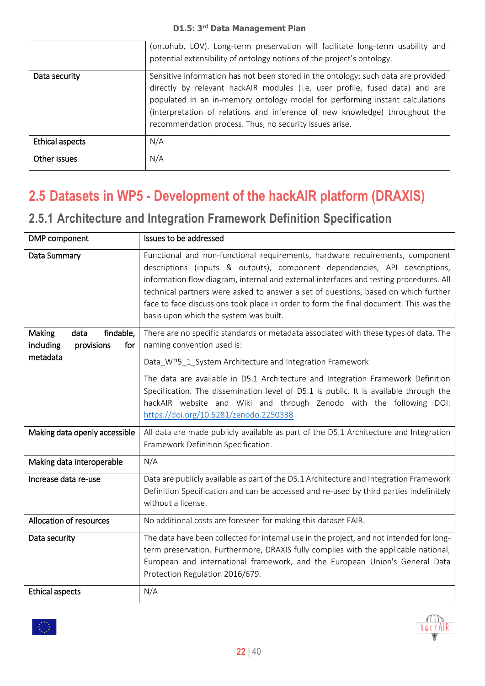|                 | (ontohub, LOV). Long-term preservation will facilitate long-term usability and<br>potential extensibility of ontology notions of the project's ontology.                                                                                                                                                                                                                                    |
|-----------------|---------------------------------------------------------------------------------------------------------------------------------------------------------------------------------------------------------------------------------------------------------------------------------------------------------------------------------------------------------------------------------------------|
| Data security   | Sensitive information has not been stored in the ontology; such data are provided<br>directly by relevant hackAIR modules (i.e. user profile, fused data) and are<br>populated in an in-memory ontology model for performing instant calculations<br>(interpretation of relations and inference of new knowledge) throughout the<br>recommendation process. Thus, no security issues arise. |
| Ethical aspects | N/A                                                                                                                                                                                                                                                                                                                                                                                         |
| Other issues    | N/A                                                                                                                                                                                                                                                                                                                                                                                         |

## <span id="page-21-0"></span>**2.5 Datasets in WP5 - Development of the hackAIR platform (DRAXIS)**

#### <span id="page-21-1"></span>**2.5.1 Architecture and Integration Framework Definition Specification**

| DMP component                                                        | Issues to be addressed                                                                                                                                                                                                                                                                                                                                                                                                                                                        |
|----------------------------------------------------------------------|-------------------------------------------------------------------------------------------------------------------------------------------------------------------------------------------------------------------------------------------------------------------------------------------------------------------------------------------------------------------------------------------------------------------------------------------------------------------------------|
| Data Summary                                                         | Functional and non-functional requirements, hardware requirements, component<br>descriptions (inputs & outputs), component dependencies, API descriptions,<br>information flow diagram, internal and external interfaces and testing procedures. All<br>technical partners were asked to answer a set of questions, based on which further<br>face to face discussions took place in order to form the final document. This was the<br>basis upon which the system was built. |
| findable,<br><b>Making</b><br>data<br>including<br>provisions<br>for | There are no specific standards or metadata associated with these types of data. The<br>naming convention used is:                                                                                                                                                                                                                                                                                                                                                            |
| metadata                                                             | Data_WP5_1_System Architecture and Integration Framework                                                                                                                                                                                                                                                                                                                                                                                                                      |
|                                                                      | The data are available in D5.1 Architecture and Integration Framework Definition<br>Specification. The dissemination level of D5.1 is public. It is available through the<br>hackAIR website and Wiki and through Zenodo with the following DOI:<br>https://doi.org/10.5281/zenodo.2250338                                                                                                                                                                                    |
| Making data openly accessible                                        | All data are made publicly available as part of the D5.1 Architecture and Integration<br>Framework Definition Specification.                                                                                                                                                                                                                                                                                                                                                  |
| Making data interoperable                                            | N/A                                                                                                                                                                                                                                                                                                                                                                                                                                                                           |
| Increase data re-use                                                 | Data are publicly available as part of the D5.1 Architecture and Integration Framework<br>Definition Specification and can be accessed and re-used by third parties indefinitely<br>without a license.                                                                                                                                                                                                                                                                        |
| Allocation of resources                                              | No additional costs are foreseen for making this dataset FAIR.                                                                                                                                                                                                                                                                                                                                                                                                                |
| Data security                                                        | The data have been collected for internal use in the project, and not intended for long-<br>term preservation. Furthermore, DRAXIS fully complies with the applicable national,<br>European and international framework, and the European Union's General Data<br>Protection Regulation 2016/679.                                                                                                                                                                             |
| <b>Ethical aspects</b>                                               | N/A                                                                                                                                                                                                                                                                                                                                                                                                                                                                           |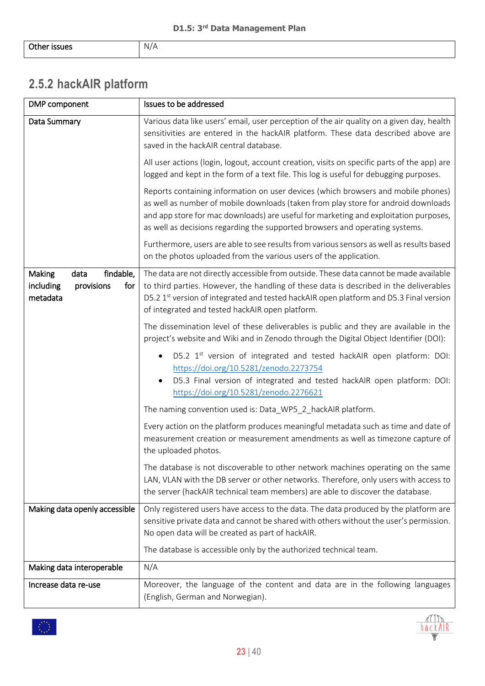### <span id="page-22-0"></span>**2.5.2 hackAIR platform**

| DMP component                                                             | Issues to be addressed                                                                                                                                                                                                                                                                                                                          |
|---------------------------------------------------------------------------|-------------------------------------------------------------------------------------------------------------------------------------------------------------------------------------------------------------------------------------------------------------------------------------------------------------------------------------------------|
| Data Summary                                                              | Various data like users' email, user perception of the air quality on a given day, health<br>sensitivities are entered in the hackAIR platform. These data described above are<br>saved in the hackAIR central database.                                                                                                                        |
|                                                                           | All user actions (login, logout, account creation, visits on specific parts of the app) are<br>logged and kept in the form of a text file. This log is useful for debugging purposes.                                                                                                                                                           |
|                                                                           | Reports containing information on user devices (which browsers and mobile phones)<br>as well as number of mobile downloads (taken from play store for android downloads<br>and app store for mac downloads) are useful for marketing and exploitation purposes,<br>as well as decisions regarding the supported browsers and operating systems. |
|                                                                           | Furthermore, users are able to see results from various sensors as well as results based<br>on the photos uploaded from the various users of the application.                                                                                                                                                                                   |
| findable,<br>Making<br>data<br>including<br>provisions<br>for<br>metadata | The data are not directly accessible from outside. These data cannot be made available<br>to third parties. However, the handling of these data is described in the deliverables<br>D5.2 1 <sup>st</sup> version of integrated and tested hackAIR open platform and D5.3 Final version<br>of integrated and tested hackAIR open platform.       |
|                                                                           | The dissemination level of these deliverables is public and they are available in the<br>project's website and Wiki and in Zenodo through the Digital Object Identifier (DOI):                                                                                                                                                                  |
|                                                                           | D5.2 1 <sup>st</sup> version of integrated and tested hackAIR open platform: DOI:<br>https://doi.org/10.5281/zenodo.2273754<br>D5.3 Final version of integrated and tested hackAIR open platform: DOI:<br>https://doi.org/10.5281/zenodo.2276621                                                                                                |
|                                                                           | The naming convention used is: Data_WP5_2_hackAIR platform.                                                                                                                                                                                                                                                                                     |
|                                                                           | Every action on the platform produces meaningful metadata such as time and date of<br>measurement creation or measurement amendments as well as timezone capture of<br>the uploaded photos.                                                                                                                                                     |
|                                                                           | The database is not discoverable to other network machines operating on the same<br>LAN, VLAN with the DB server or other networks. Therefore, only users with access to<br>the server (hackAIR technical team members) are able to discover the database.                                                                                      |
| Making data openly accessible                                             | Only registered users have access to the data. The data produced by the platform are<br>sensitive private data and cannot be shared with others without the user's permission.<br>No open data will be created as part of hackAIR.                                                                                                              |
|                                                                           | The database is accessible only by the authorized technical team.                                                                                                                                                                                                                                                                               |
| Making data interoperable                                                 | N/A                                                                                                                                                                                                                                                                                                                                             |
| Increase data re-use                                                      | Moreover, the language of the content and data are in the following languages<br>(English, German and Norwegian).                                                                                                                                                                                                                               |

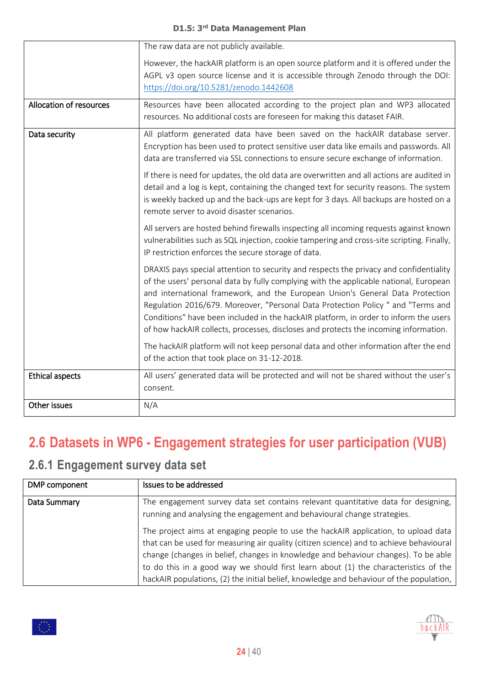|                         | The raw data are not publicly available.                                                                                                                                                                                                                                                                                                                                                                                                                                                                                             |
|-------------------------|--------------------------------------------------------------------------------------------------------------------------------------------------------------------------------------------------------------------------------------------------------------------------------------------------------------------------------------------------------------------------------------------------------------------------------------------------------------------------------------------------------------------------------------|
|                         | However, the hackAIR platform is an open source platform and it is offered under the<br>AGPL v3 open source license and it is accessible through Zenodo through the DOI:<br>https://doi.org/10.5281/zenodo.1442608                                                                                                                                                                                                                                                                                                                   |
| Allocation of resources | Resources have been allocated according to the project plan and WP3 allocated<br>resources. No additional costs are foreseen for making this dataset FAIR.                                                                                                                                                                                                                                                                                                                                                                           |
| Data security           | All platform generated data have been saved on the hackAIR database server.<br>Encryption has been used to protect sensitive user data like emails and passwords. All<br>data are transferred via SSL connections to ensure secure exchange of information.                                                                                                                                                                                                                                                                          |
|                         | If there is need for updates, the old data are overwritten and all actions are audited in<br>detail and a log is kept, containing the changed text for security reasons. The system<br>is weekly backed up and the back-ups are kept for 3 days. All backups are hosted on a<br>remote server to avoid disaster scenarios.                                                                                                                                                                                                           |
|                         | All servers are hosted behind firewalls inspecting all incoming requests against known<br>vulnerabilities such as SQL injection, cookie tampering and cross-site scripting. Finally,<br>IP restriction enforces the secure storage of data.                                                                                                                                                                                                                                                                                          |
|                         | DRAXIS pays special attention to security and respects the privacy and confidentiality<br>of the users' personal data by fully complying with the applicable national, European<br>and international framework, and the European Union's General Data Protection<br>Regulation 2016/679. Moreover, "Personal Data Protection Policy " and "Terms and<br>Conditions" have been included in the hackAIR platform, in order to inform the users<br>of how hackAIR collects, processes, discloses and protects the incoming information. |
|                         | The hackAIR platform will not keep personal data and other information after the end<br>of the action that took place on 31-12-2018.                                                                                                                                                                                                                                                                                                                                                                                                 |
| <b>Ethical aspects</b>  | All users' generated data will be protected and will not be shared without the user's<br>consent.                                                                                                                                                                                                                                                                                                                                                                                                                                    |
| Other issues            | N/A                                                                                                                                                                                                                                                                                                                                                                                                                                                                                                                                  |

# <span id="page-23-0"></span>**2.6 Datasets in WP6 - Engagement strategies for user participation (VUB)**

### <span id="page-23-1"></span>**2.6.1 Engagement survey data set**

稳

| DMP component | Issues to be addressed                                                                                                                                                                                                                                                                                                                                                                                                                                |
|---------------|-------------------------------------------------------------------------------------------------------------------------------------------------------------------------------------------------------------------------------------------------------------------------------------------------------------------------------------------------------------------------------------------------------------------------------------------------------|
| Data Summary  | The engagement survey data set contains relevant quantitative data for designing,<br>running and analysing the engagement and behavioural change strategies.                                                                                                                                                                                                                                                                                          |
|               | The project aims at engaging people to use the hackAIR application, to upload data<br>that can be used for measuring air quality (citizen science) and to achieve behavioural<br>change (changes in belief, changes in knowledge and behaviour changes). To be able<br>to do this in a good way we should first learn about (1) the characteristics of the<br>hackAIR populations, (2) the initial belief, knowledge and behaviour of the population, |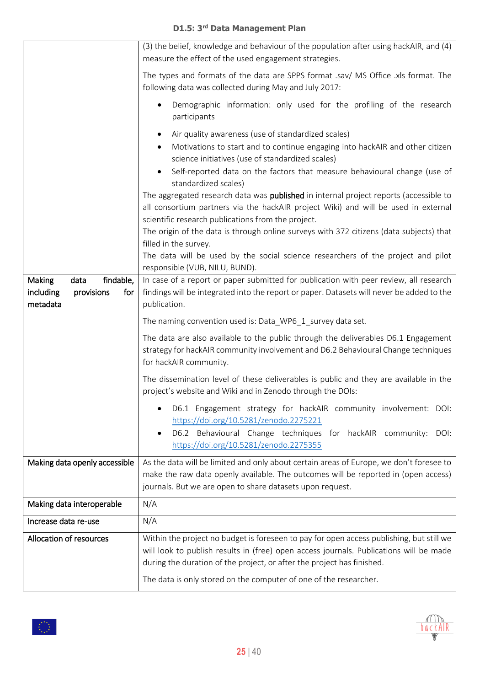|                                                                                  | (3) the belief, knowledge and behaviour of the population after using hackAIR, and (4)<br>measure the effect of the used engagement strategies.                                                                                             |
|----------------------------------------------------------------------------------|---------------------------------------------------------------------------------------------------------------------------------------------------------------------------------------------------------------------------------------------|
|                                                                                  | The types and formats of the data are SPPS format .sav/ MS Office .xls format. The<br>following data was collected during May and July 2017:                                                                                                |
|                                                                                  | Demographic information: only used for the profiling of the research<br>$\bullet$<br>participants                                                                                                                                           |
|                                                                                  | Air quality awareness (use of standardized scales)<br>$\bullet$                                                                                                                                                                             |
|                                                                                  | Motivations to start and to continue engaging into hackAIR and other citizen<br>science initiatives (use of standardized scales)                                                                                                            |
|                                                                                  | Self-reported data on the factors that measure behavioural change (use of<br>standardized scales)                                                                                                                                           |
|                                                                                  | The aggregated research data was published in internal project reports (accessible to<br>all consortium partners via the hackAIR project Wiki) and will be used in external<br>scientific research publications from the project.           |
|                                                                                  | The origin of the data is through online surveys with 372 citizens (data subjects) that<br>filled in the survey.                                                                                                                            |
|                                                                                  | The data will be used by the social science researchers of the project and pilot<br>responsible (VUB, NILU, BUND).                                                                                                                          |
| findable,<br><b>Making</b><br>data<br>including<br>provisions<br>for<br>metadata | In case of a report or paper submitted for publication with peer review, all research<br>findings will be integrated into the report or paper. Datasets will never be added to the<br>publication.                                          |
|                                                                                  | The naming convention used is: Data_WP6_1_survey data set.                                                                                                                                                                                  |
|                                                                                  | The data are also available to the public through the deliverables D6.1 Engagement<br>strategy for hackAIR community involvement and D6.2 Behavioural Change techniques<br>for hackAIR community.                                           |
|                                                                                  | The dissemination level of these deliverables is public and they are available in the<br>project's website and Wiki and in Zenodo through the DOIs:                                                                                         |
|                                                                                  | D6.1 Engagement strategy for hackAIR community involvement: DOI:<br>٠<br>https://doi.org/10.5281/zenodo.2275221<br>D6.2 Behavioural Change techniques for hackAIR community:<br>DOI:<br>$\bullet$<br>https://doi.org/10.5281/zenodo.2275355 |
| Making data openly accessible                                                    | As the data will be limited and only about certain areas of Europe, we don't foresee to                                                                                                                                                     |
|                                                                                  | make the raw data openly available. The outcomes will be reported in (open access)<br>journals. But we are open to share datasets upon request.                                                                                             |
| Making data interoperable                                                        | N/A                                                                                                                                                                                                                                         |
| Increase data re-use                                                             | N/A                                                                                                                                                                                                                                         |
| Allocation of resources                                                          | Within the project no budget is foreseen to pay for open access publishing, but still we                                                                                                                                                    |
|                                                                                  | will look to publish results in (free) open access journals. Publications will be made<br>during the duration of the project, or after the project has finished.                                                                            |
|                                                                                  | The data is only stored on the computer of one of the researcher.                                                                                                                                                                           |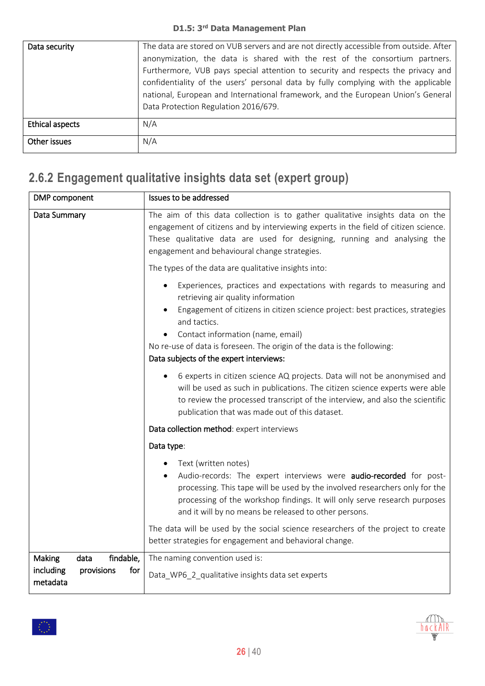| Data security   | The data are stored on VUB servers and are not directly accessible from outside. After<br>anonymization, the data is shared with the rest of the consortium partners.<br>Furthermore, VUB pays special attention to security and respects the privacy and<br>confidentiality of the users' personal data by fully complying with the applicable<br>national, European and International framework, and the European Union's General<br>Data Protection Regulation 2016/679. |
|-----------------|-----------------------------------------------------------------------------------------------------------------------------------------------------------------------------------------------------------------------------------------------------------------------------------------------------------------------------------------------------------------------------------------------------------------------------------------------------------------------------|
| Ethical aspects | N/A                                                                                                                                                                                                                                                                                                                                                                                                                                                                         |
| Other issues    | N/A                                                                                                                                                                                                                                                                                                                                                                                                                                                                         |

# <span id="page-25-0"></span>**2.6.2 Engagement qualitative insights data set (expert group)**

| DMP component                                                             | Issues to be addressed                                                                                                                                                                                                                                                                                          |
|---------------------------------------------------------------------------|-----------------------------------------------------------------------------------------------------------------------------------------------------------------------------------------------------------------------------------------------------------------------------------------------------------------|
| Data Summary                                                              | The aim of this data collection is to gather qualitative insights data on the<br>engagement of citizens and by interviewing experts in the field of citizen science.<br>These qualitative data are used for designing, running and analysing the<br>engagement and behavioural change strategies.               |
|                                                                           | The types of the data are qualitative insights into:                                                                                                                                                                                                                                                            |
|                                                                           | Experiences, practices and expectations with regards to measuring and<br>retrieving air quality information<br>Engagement of citizens in citizen science project: best practices, strategies                                                                                                                    |
|                                                                           | and tactics.<br>Contact information (name, email)<br>No re-use of data is foreseen. The origin of the data is the following:<br>Data subjects of the expert interviews:                                                                                                                                         |
|                                                                           | 6 experts in citizen science AQ projects. Data will not be anonymised and<br>will be used as such in publications. The citizen science experts were able<br>to review the processed transcript of the interview, and also the scientific<br>publication that was made out of this dataset.                      |
|                                                                           | Data collection method: expert interviews                                                                                                                                                                                                                                                                       |
|                                                                           | Data type:                                                                                                                                                                                                                                                                                                      |
|                                                                           | Text (written notes)<br>Audio-records: The expert interviews were audio-recorded for post-<br>processing. This tape will be used by the involved researchers only for the<br>processing of the workshop findings. It will only serve research purposes<br>and it will by no means be released to other persons. |
|                                                                           | The data will be used by the social science researchers of the project to create<br>better strategies for engagement and behavioral change.                                                                                                                                                                     |
| findable,<br>Making<br>data<br>including<br>for<br>provisions<br>metadata | The naming convention used is:<br>Data_WP6_2_qualitative insights data set experts                                                                                                                                                                                                                              |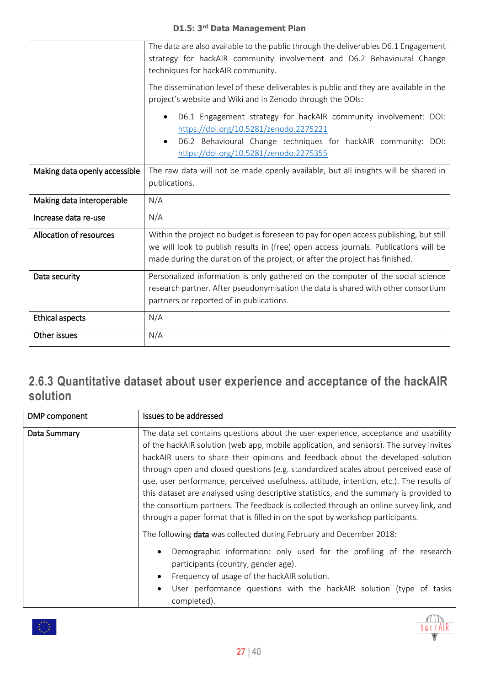|                               | The data are also available to the public through the deliverables D6.1 Engagement<br>strategy for hackAIR community involvement and D6.2 Behavioural Change<br>techniques for hackAIR community.                                                            |
|-------------------------------|--------------------------------------------------------------------------------------------------------------------------------------------------------------------------------------------------------------------------------------------------------------|
|                               | The dissemination level of these deliverables is public and they are available in the<br>project's website and Wiki and in Zenodo through the DOIs:                                                                                                          |
|                               | D6.1 Engagement strategy for hackAIR community involvement: DOI:<br>https://doi.org/10.5281/zenodo.2275221<br>D6.2 Behavioural Change techniques for hackAIR community: DOI:<br>https://doi.org/10.5281/zenodo.2275355                                       |
| Making data openly accessible | The raw data will not be made openly available, but all insights will be shared in<br>publications.                                                                                                                                                          |
| Making data interoperable     | N/A                                                                                                                                                                                                                                                          |
| Increase data re-use          | N/A                                                                                                                                                                                                                                                          |
| Allocation of resources       | Within the project no budget is foreseen to pay for open access publishing, but still<br>we will look to publish results in (free) open access journals. Publications will be<br>made during the duration of the project, or after the project has finished. |
| Data security                 | Personalized information is only gathered on the computer of the social science<br>research partner. After pseudonymisation the data is shared with other consortium<br>partners or reported of in publications.                                             |
| <b>Ethical aspects</b>        | N/A                                                                                                                                                                                                                                                          |
| Other issues                  | N/A                                                                                                                                                                                                                                                          |

#### <span id="page-26-0"></span>**2.6.3 Quantitative dataset about user experience and acceptance of the hackAIR solution**

| DMP component | Issues to be addressed                                                                                                                                                                                                                                                                                                                                                                                                                                                                                                                                                                                                                                                                                                  |
|---------------|-------------------------------------------------------------------------------------------------------------------------------------------------------------------------------------------------------------------------------------------------------------------------------------------------------------------------------------------------------------------------------------------------------------------------------------------------------------------------------------------------------------------------------------------------------------------------------------------------------------------------------------------------------------------------------------------------------------------------|
| Data Summary  | The data set contains questions about the user experience, acceptance and usability<br>of the hackAIR solution (web app, mobile application, and sensors). The survey invites<br>hackAIR users to share their opinions and feedback about the developed solution<br>through open and closed questions (e.g. standardized scales about perceived ease of<br>use, user performance, perceived usefulness, attitude, intention, etc.). The results of<br>this dataset are analysed using descriptive statistics, and the summary is provided to<br>the consortium partners. The feedback is collected through an online survey link, and<br>through a paper format that is filled in on the spot by workshop participants. |
|               | The following <b>data</b> was collected during February and December 2018:<br>Demographic information: only used for the profiling of the research<br>$\bullet$<br>participants (country, gender age).<br>Frequency of usage of the hackAIR solution.<br>$\bullet$<br>User performance questions with the hackAIR solution (type of tasks<br>$\bullet$<br>completed).                                                                                                                                                                                                                                                                                                                                                   |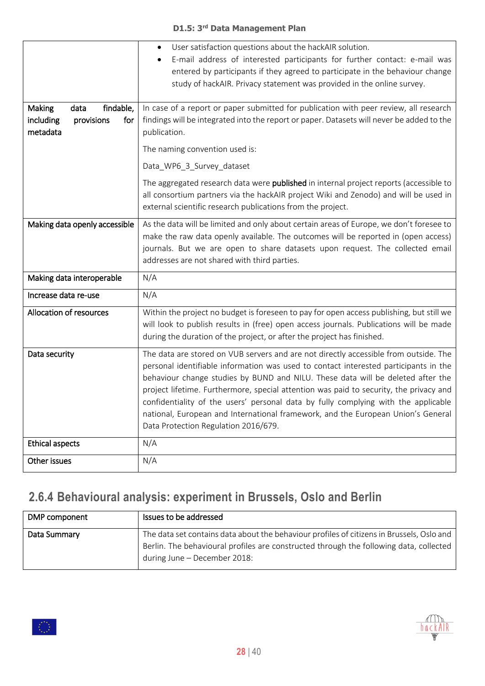|                                            | User satisfaction questions about the hackAIR solution.<br>$\bullet$                                                                                                         |
|--------------------------------------------|------------------------------------------------------------------------------------------------------------------------------------------------------------------------------|
|                                            | E-mail address of interested participants for further contact: e-mail was<br>$\bullet$                                                                                       |
|                                            | entered by participants if they agreed to participate in the behaviour change                                                                                                |
|                                            | study of hackAIR. Privacy statement was provided in the online survey.                                                                                                       |
|                                            |                                                                                                                                                                              |
| findable,<br><b>Making</b><br>data         | In case of a report or paper submitted for publication with peer review, all research                                                                                        |
| including<br>provisions<br>for<br>metadata | findings will be integrated into the report or paper. Datasets will never be added to the<br>publication.                                                                    |
|                                            | The naming convention used is:                                                                                                                                               |
|                                            | Data_WP6_3_Survey_dataset                                                                                                                                                    |
|                                            | The aggregated research data were published in internal project reports (accessible to                                                                                       |
|                                            | all consortium partners via the hackAIR project Wiki and Zenodo) and will be used in                                                                                         |
|                                            | external scientific research publications from the project.                                                                                                                  |
| Making data openly accessible              | As the data will be limited and only about certain areas of Europe, we don't foresee to                                                                                      |
|                                            | make the raw data openly available. The outcomes will be reported in (open access)                                                                                           |
|                                            | journals. But we are open to share datasets upon request. The collected email                                                                                                |
|                                            | addresses are not shared with third parties.                                                                                                                                 |
| Making data interoperable                  | N/A                                                                                                                                                                          |
| Increase data re-use                       | N/A                                                                                                                                                                          |
| Allocation of resources                    | Within the project no budget is foreseen to pay for open access publishing, but still we                                                                                     |
|                                            | will look to publish results in (free) open access journals. Publications will be made                                                                                       |
|                                            | during the duration of the project, or after the project has finished.                                                                                                       |
| Data security                              | The data are stored on VUB servers and are not directly accessible from outside. The                                                                                         |
|                                            | personal identifiable information was used to contact interested participants in the                                                                                         |
|                                            | behaviour change studies by BUND and NILU. These data will be deleted after the                                                                                              |
|                                            | project lifetime. Furthermore, special attention was paid to security, the privacy and<br>confidentiality of the users' personal data by fully complying with the applicable |
|                                            | national, European and International framework, and the European Union's General                                                                                             |
|                                            | Data Protection Regulation 2016/679.                                                                                                                                         |
| <b>Ethical aspects</b>                     | N/A                                                                                                                                                                          |
| Other issues                               | N/A                                                                                                                                                                          |
|                                            |                                                                                                                                                                              |

### <span id="page-27-0"></span>**2.6.4 Behavioural analysis: experiment in Brussels, Oslo and Berlin**

| DMP component | Issues to be addressed                                                                                                                                                                                              |
|---------------|---------------------------------------------------------------------------------------------------------------------------------------------------------------------------------------------------------------------|
| Data Summary  | The data set contains data about the behaviour profiles of citizens in Brussels, Oslo and<br>Berlin. The behavioural profiles are constructed through the following data, collected<br>during June - December 2018: |

M

hackAIR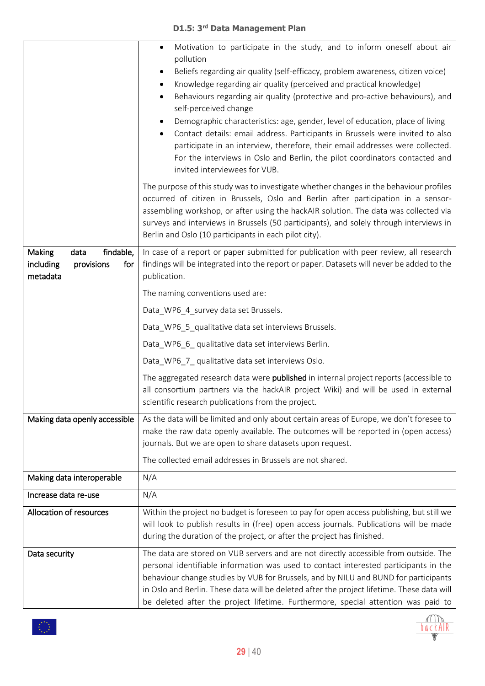|                                                                                  | Motivation to participate in the study, and to inform oneself about air<br>$\bullet$<br>pollution<br>Beliefs regarding air quality (self-efficacy, problem awareness, citizen voice)<br>Knowledge regarding air quality (perceived and practical knowledge)<br>$\bullet$<br>Behaviours regarding air quality (protective and pro-active behaviours), and<br>self-perceived change<br>Demographic characteristics: age, gender, level of education, place of living<br>Contact details: email address. Participants in Brussels were invited to also<br>$\bullet$<br>participate in an interview, therefore, their email addresses were collected.<br>For the interviews in Oslo and Berlin, the pilot coordinators contacted and<br>invited interviewees for VUB. |
|----------------------------------------------------------------------------------|-------------------------------------------------------------------------------------------------------------------------------------------------------------------------------------------------------------------------------------------------------------------------------------------------------------------------------------------------------------------------------------------------------------------------------------------------------------------------------------------------------------------------------------------------------------------------------------------------------------------------------------------------------------------------------------------------------------------------------------------------------------------|
|                                                                                  | The purpose of this study was to investigate whether changes in the behaviour profiles<br>occurred of citizen in Brussels, Oslo and Berlin after participation in a sensor-<br>assembling workshop, or after using the hackAIR solution. The data was collected via<br>surveys and interviews in Brussels (50 participants), and solely through interviews in<br>Berlin and Oslo (10 participants in each pilot city).                                                                                                                                                                                                                                                                                                                                            |
| findable,<br><b>Making</b><br>data<br>including<br>provisions<br>for<br>metadata | In case of a report or paper submitted for publication with peer review, all research<br>findings will be integrated into the report or paper. Datasets will never be added to the<br>publication.                                                                                                                                                                                                                                                                                                                                                                                                                                                                                                                                                                |
|                                                                                  | The naming conventions used are:                                                                                                                                                                                                                                                                                                                                                                                                                                                                                                                                                                                                                                                                                                                                  |
|                                                                                  | Data_WP6_4_survey data set Brussels.                                                                                                                                                                                                                                                                                                                                                                                                                                                                                                                                                                                                                                                                                                                              |
|                                                                                  | Data_WP6_5_qualitative data set interviews Brussels.                                                                                                                                                                                                                                                                                                                                                                                                                                                                                                                                                                                                                                                                                                              |
|                                                                                  | Data_WP6_6_ qualitative data set interviews Berlin.                                                                                                                                                                                                                                                                                                                                                                                                                                                                                                                                                                                                                                                                                                               |
|                                                                                  | Data_WP6_7_qualitative data set interviews Oslo.                                                                                                                                                                                                                                                                                                                                                                                                                                                                                                                                                                                                                                                                                                                  |
|                                                                                  | The aggregated research data were published in internal project reports (accessible to<br>all consortium partners via the hackAIR project Wiki) and will be used in external<br>scientific research publications from the project.                                                                                                                                                                                                                                                                                                                                                                                                                                                                                                                                |
| Making data openly accessible                                                    | As the data will be limited and only about certain areas of Europe, we don't foresee to                                                                                                                                                                                                                                                                                                                                                                                                                                                                                                                                                                                                                                                                           |
|                                                                                  | make the raw data openly available. The outcomes will be reported in (open access)<br>journals. But we are open to share datasets upon request.                                                                                                                                                                                                                                                                                                                                                                                                                                                                                                                                                                                                                   |
|                                                                                  | The collected email addresses in Brussels are not shared.                                                                                                                                                                                                                                                                                                                                                                                                                                                                                                                                                                                                                                                                                                         |
| Making data interoperable                                                        | N/A                                                                                                                                                                                                                                                                                                                                                                                                                                                                                                                                                                                                                                                                                                                                                               |
| Increase data re-use                                                             | N/A                                                                                                                                                                                                                                                                                                                                                                                                                                                                                                                                                                                                                                                                                                                                                               |
| Allocation of resources                                                          | Within the project no budget is foreseen to pay for open access publishing, but still we<br>will look to publish results in (free) open access journals. Publications will be made<br>during the duration of the project, or after the project has finished.                                                                                                                                                                                                                                                                                                                                                                                                                                                                                                      |
| Data security                                                                    | The data are stored on VUB servers and are not directly accessible from outside. The<br>personal identifiable information was used to contact interested participants in the<br>behaviour change studies by VUB for Brussels, and by NILU and BUND for participants<br>in Oslo and Berlin. These data will be deleted after the project lifetime. These data will<br>be deleted after the project lifetime. Furthermore, special attention was paid to                                                                                                                                                                                                                                                                                                            |

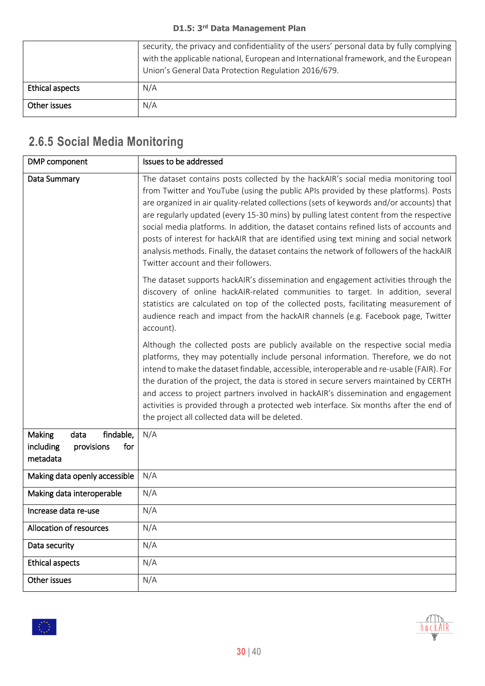|                 | security, the privacy and confidentiality of the users' personal data by fully complying<br>with the applicable national, European and International framework, and the European<br>Union's General Data Protection Regulation 2016/679. |
|-----------------|------------------------------------------------------------------------------------------------------------------------------------------------------------------------------------------------------------------------------------------|
| Ethical aspects | N/A                                                                                                                                                                                                                                      |
| Other issues    | N/A                                                                                                                                                                                                                                      |

# <span id="page-29-0"></span>**2.6.5 Social Media Monitoring**

| DMP component                                                                    | Issues to be addressed                                                                                                                                                                                                                                                                                                                                                                                                                                                                                                                                                                                                                                                                  |
|----------------------------------------------------------------------------------|-----------------------------------------------------------------------------------------------------------------------------------------------------------------------------------------------------------------------------------------------------------------------------------------------------------------------------------------------------------------------------------------------------------------------------------------------------------------------------------------------------------------------------------------------------------------------------------------------------------------------------------------------------------------------------------------|
| Data Summary                                                                     | The dataset contains posts collected by the hackAIR's social media monitoring tool<br>from Twitter and YouTube (using the public APIs provided by these platforms). Posts<br>are organized in air quality-related collections (sets of keywords and/or accounts) that<br>are regularly updated (every 15-30 mins) by pulling latest content from the respective<br>social media platforms. In addition, the dataset contains refined lists of accounts and<br>posts of interest for hackAIR that are identified using text mining and social network<br>analysis methods. Finally, the dataset contains the network of followers of the hackAIR<br>Twitter account and their followers. |
|                                                                                  | The dataset supports hackAIR's dissemination and engagement activities through the<br>discovery of online hackAIR-related communities to target. In addition, several<br>statistics are calculated on top of the collected posts, facilitating measurement of<br>audience reach and impact from the hackAIR channels (e.g. Facebook page, Twitter<br>account).                                                                                                                                                                                                                                                                                                                          |
|                                                                                  | Although the collected posts are publicly available on the respective social media<br>platforms, they may potentially include personal information. Therefore, we do not<br>intend to make the dataset findable, accessible, interoperable and re-usable (FAIR). For<br>the duration of the project, the data is stored in secure servers maintained by CERTH<br>and access to project partners involved in hackAIR's dissemination and engagement<br>activities is provided through a protected web interface. Six months after the end of<br>the project all collected data will be deleted.                                                                                          |
| findable,<br><b>Making</b><br>data<br>including<br>provisions<br>for<br>metadata | N/A                                                                                                                                                                                                                                                                                                                                                                                                                                                                                                                                                                                                                                                                                     |
| Making data openly accessible                                                    | N/A                                                                                                                                                                                                                                                                                                                                                                                                                                                                                                                                                                                                                                                                                     |
| Making data interoperable                                                        | N/A                                                                                                                                                                                                                                                                                                                                                                                                                                                                                                                                                                                                                                                                                     |
| Increase data re-use                                                             | N/A                                                                                                                                                                                                                                                                                                                                                                                                                                                                                                                                                                                                                                                                                     |
| Allocation of resources                                                          | N/A                                                                                                                                                                                                                                                                                                                                                                                                                                                                                                                                                                                                                                                                                     |
| Data security                                                                    | N/A                                                                                                                                                                                                                                                                                                                                                                                                                                                                                                                                                                                                                                                                                     |
| <b>Ethical aspects</b>                                                           | N/A                                                                                                                                                                                                                                                                                                                                                                                                                                                                                                                                                                                                                                                                                     |
| Other issues                                                                     | N/A                                                                                                                                                                                                                                                                                                                                                                                                                                                                                                                                                                                                                                                                                     |

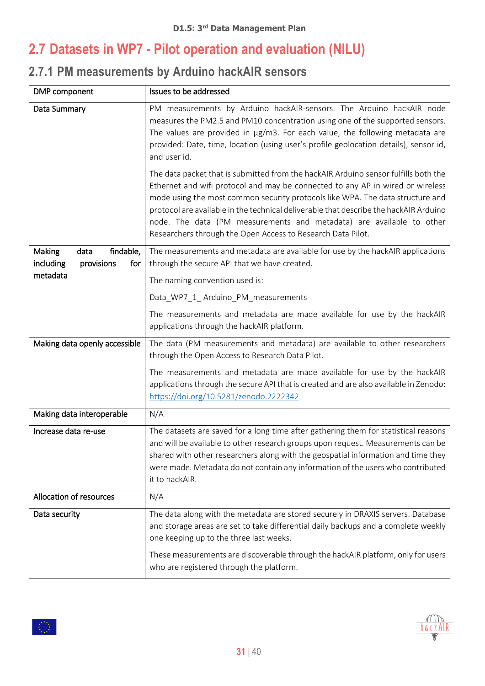### <span id="page-30-0"></span>**2.7 Datasets in WP7 - Pilot operation and evaluation (NILU)**

### <span id="page-30-1"></span>**2.7.1 PM measurements by Arduino hackAIR sensors**

| DMP component                                                 | Issues to be addressed                                                                                                                                                                                                                                                                                                                                                                                                                                                                  |
|---------------------------------------------------------------|-----------------------------------------------------------------------------------------------------------------------------------------------------------------------------------------------------------------------------------------------------------------------------------------------------------------------------------------------------------------------------------------------------------------------------------------------------------------------------------------|
| Data Summary                                                  | PM measurements by Arduino hackAIR-sensors. The Arduino hackAIR node<br>measures the PM2.5 and PM10 concentration using one of the supported sensors.<br>The values are provided in µg/m3. For each value, the following metadata are<br>provided: Date, time, location (using user's profile geolocation details), sensor id,<br>and user id.                                                                                                                                          |
|                                                               | The data packet that is submitted from the hackAIR Arduino sensor fulfills both the<br>Ethernet and wifi protocol and may be connected to any AP in wired or wireless<br>mode using the most common security protocols like WPA. The data structure and<br>protocol are available in the technical deliverable that describe the hackAIR Arduino<br>node. The data (PM measurements and metadata) are available to other<br>Researchers through the Open Access to Research Data Pilot. |
| findable,<br>Making<br>data<br>including<br>provisions<br>for | The measurements and metadata are available for use by the hackAIR applications<br>through the secure API that we have created.                                                                                                                                                                                                                                                                                                                                                         |
| metadata                                                      | The naming convention used is:                                                                                                                                                                                                                                                                                                                                                                                                                                                          |
|                                                               | Data_WP7_1_Arduino_PM_measurements                                                                                                                                                                                                                                                                                                                                                                                                                                                      |
|                                                               | The measurements and metadata are made available for use by the hackAIR<br>applications through the hackAIR platform.                                                                                                                                                                                                                                                                                                                                                                   |
| Making data openly accessible                                 | The data (PM measurements and metadata) are available to other researchers<br>through the Open Access to Research Data Pilot.                                                                                                                                                                                                                                                                                                                                                           |
|                                                               | The measurements and metadata are made available for use by the hackAIR<br>applications through the secure API that is created and are also available in Zenodo:<br>https://doi.org/10.5281/zenodo.2222342                                                                                                                                                                                                                                                                              |
| Making data interoperable                                     | N/A                                                                                                                                                                                                                                                                                                                                                                                                                                                                                     |
| Increase data re-use                                          | The datasets are saved for a long time after gathering them for statistical reasons<br>and will be available to other research groups upon request. Measurements can be<br>shared with other researchers along with the geospatial information and time they<br>were made. Metadata do not contain any information of the users who contributed<br>it to hackAIR.                                                                                                                       |
| Allocation of resources                                       | N/A                                                                                                                                                                                                                                                                                                                                                                                                                                                                                     |
| Data security                                                 | The data along with the metadata are stored securely in DRAXIS servers. Database<br>and storage areas are set to take differential daily backups and a complete weekly<br>one keeping up to the three last weeks.<br>These measurements are discoverable through the hackAIR platform, only for users                                                                                                                                                                                   |
|                                                               | who are registered through the platform.                                                                                                                                                                                                                                                                                                                                                                                                                                                |

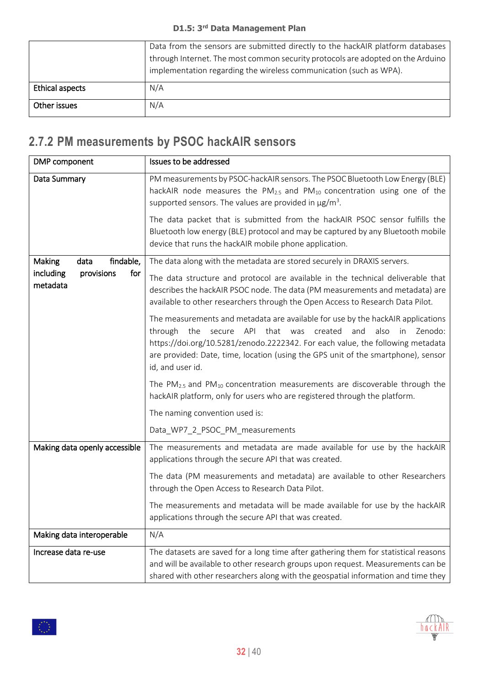|                        | Data from the sensors are submitted directly to the hackAIR platform databases<br>through Internet. The most common security protocols are adopted on the Arduino<br>implementation regarding the wireless communication (such as WPA). |
|------------------------|-----------------------------------------------------------------------------------------------------------------------------------------------------------------------------------------------------------------------------------------|
| <b>Ethical aspects</b> | N/A                                                                                                                                                                                                                                     |
| Other issues           | N/A                                                                                                                                                                                                                                     |

# <span id="page-31-0"></span>**2.7.2 PM measurements by PSOC hackAIR sensors**

| DMP component                              | Issues to be addressed                                                                                                                                                                                                                                                                                                                                      |
|--------------------------------------------|-------------------------------------------------------------------------------------------------------------------------------------------------------------------------------------------------------------------------------------------------------------------------------------------------------------------------------------------------------------|
| Data Summary                               | PM measurements by PSOC-hackAIR sensors. The PSOC Bluetooth Low Energy (BLE)<br>hackAIR node measures the $PM_{2.5}$ and $PM_{10}$ concentration using one of the<br>supported sensors. The values are provided in $\mu$ g/m <sup>3</sup> .<br>The data packet that is submitted from the hackAIR PSOC sensor fulfills the                                  |
|                                            | Bluetooth low energy (BLE) protocol and may be captured by any Bluetooth mobile<br>device that runs the hackAIR mobile phone application.                                                                                                                                                                                                                   |
| findable,<br><b>Making</b><br>data         | The data along with the metadata are stored securely in DRAXIS servers.                                                                                                                                                                                                                                                                                     |
| for<br>including<br>provisions<br>metadata | The data structure and protocol are available in the technical deliverable that<br>describes the hackAIR PSOC node. The data (PM measurements and metadata) are<br>available to other researchers through the Open Access to Research Data Pilot.                                                                                                           |
|                                            | The measurements and metadata are available for use by the hackAIR applications<br>secure API that was<br>through the<br>created<br>and<br>also<br>Zenodo:<br>in<br>https://doi.org/10.5281/zenodo.2222342. For each value, the following metadata<br>are provided: Date, time, location (using the GPS unit of the smartphone), sensor<br>id, and user id. |
|                                            | The $PM_{2.5}$ and $PM_{10}$ concentration measurements are discoverable through the<br>hackAIR platform, only for users who are registered through the platform.                                                                                                                                                                                           |
|                                            | The naming convention used is:                                                                                                                                                                                                                                                                                                                              |
|                                            | Data_WP7_2_PSOC_PM_measurements                                                                                                                                                                                                                                                                                                                             |
| Making data openly accessible              | The measurements and metadata are made available for use by the hackAIR<br>applications through the secure API that was created.                                                                                                                                                                                                                            |
|                                            | The data (PM measurements and metadata) are available to other Researchers<br>through the Open Access to Research Data Pilot.                                                                                                                                                                                                                               |
|                                            | The measurements and metadata will be made available for use by the hackAIR<br>applications through the secure API that was created.                                                                                                                                                                                                                        |
| Making data interoperable                  | N/A                                                                                                                                                                                                                                                                                                                                                         |
| Increase data re-use                       | The datasets are saved for a long time after gathering them for statistical reasons<br>and will be available to other research groups upon request. Measurements can be<br>shared with other researchers along with the geospatial information and time they                                                                                                |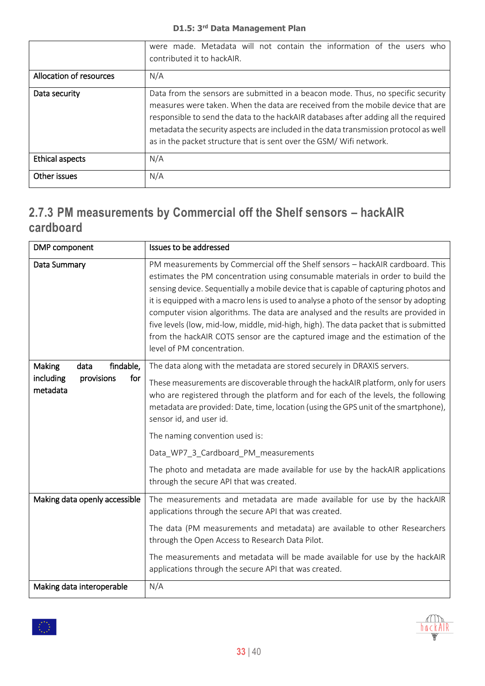|                         | were made. Metadata will not contain the information of the users who<br>contributed it to hackAIR.                                                                                                                                                                                                                                                                                                                       |
|-------------------------|---------------------------------------------------------------------------------------------------------------------------------------------------------------------------------------------------------------------------------------------------------------------------------------------------------------------------------------------------------------------------------------------------------------------------|
| Allocation of resources | N/A                                                                                                                                                                                                                                                                                                                                                                                                                       |
| Data security           | Data from the sensors are submitted in a beacon mode. Thus, no specific security<br>measures were taken. When the data are received from the mobile device that are<br>responsible to send the data to the hackAIR databases after adding all the required<br>metadata the security aspects are included in the data transmission protocol as well<br>as in the packet structure that is sent over the GSM/ Wifi network. |
| Ethical aspects         | N/A                                                                                                                                                                                                                                                                                                                                                                                                                       |
| Other issues            | N/A                                                                                                                                                                                                                                                                                                                                                                                                                       |

#### <span id="page-32-0"></span>**2.7.3 PM measurements by Commercial off the Shelf sensors – hackAIR cardboard**

| DMP component                                                             | Issues to be addressed                                                                                                                                                                                                                                                                                                                                                                                                                                                                                                                                                                                                                         |
|---------------------------------------------------------------------------|------------------------------------------------------------------------------------------------------------------------------------------------------------------------------------------------------------------------------------------------------------------------------------------------------------------------------------------------------------------------------------------------------------------------------------------------------------------------------------------------------------------------------------------------------------------------------------------------------------------------------------------------|
| Data Summary                                                              | PM measurements by Commercial off the Shelf sensors - hackAIR cardboard. This<br>estimates the PM concentration using consumable materials in order to build the<br>sensing device. Sequentially a mobile device that is capable of capturing photos and<br>it is equipped with a macro lens is used to analyse a photo of the sensor by adopting<br>computer vision algorithms. The data are analysed and the results are provided in<br>five levels (low, mid-low, middle, mid-high, high). The data packet that is submitted<br>from the hackAIR COTS sensor are the captured image and the estimation of the<br>level of PM concentration. |
| findable,<br>data<br>Making<br>including<br>for<br>provisions<br>metadata | The data along with the metadata are stored securely in DRAXIS servers.<br>These measurements are discoverable through the hackAIR platform, only for users<br>who are registered through the platform and for each of the levels, the following<br>metadata are provided: Date, time, location (using the GPS unit of the smartphone),<br>sensor id, and user id.<br>The naming convention used is:<br>Data_WP7_3_Cardboard_PM_measurements<br>The photo and metadata are made available for use by the hackAIR applications<br>through the secure API that was created.                                                                      |
| Making data openly accessible                                             | The measurements and metadata are made available for use by the hackAIR<br>applications through the secure API that was created.<br>The data (PM measurements and metadata) are available to other Researchers<br>through the Open Access to Research Data Pilot.<br>The measurements and metadata will be made available for use by the hackAIR<br>applications through the secure API that was created.                                                                                                                                                                                                                                      |
| Making data interoperable                                                 | N/A                                                                                                                                                                                                                                                                                                                                                                                                                                                                                                                                                                                                                                            |

 $\langle \rangle$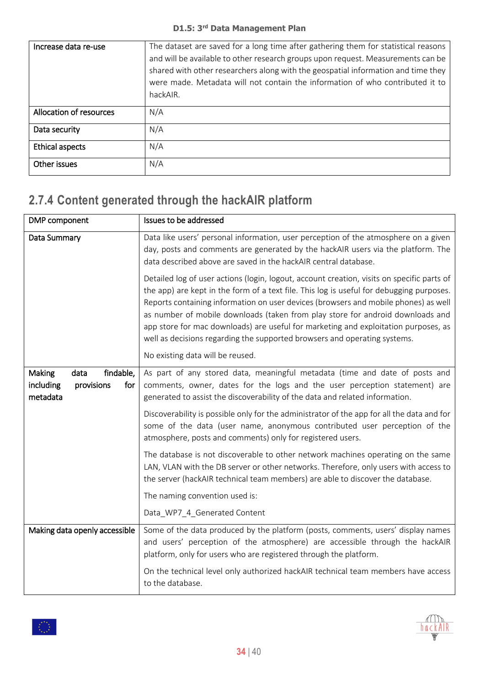| Increase data re-use    | The dataset are saved for a long time after gathering them for statistical reasons<br>and will be available to other research groups upon request. Measurements can be<br>shared with other researchers along with the geospatial information and time they<br>were made. Metadata will not contain the information of who contributed it to<br>hackAIR. |
|-------------------------|----------------------------------------------------------------------------------------------------------------------------------------------------------------------------------------------------------------------------------------------------------------------------------------------------------------------------------------------------------|
| Allocation of resources | N/A                                                                                                                                                                                                                                                                                                                                                      |
| Data security           | N/A                                                                                                                                                                                                                                                                                                                                                      |
| <b>Ethical aspects</b>  | N/A                                                                                                                                                                                                                                                                                                                                                      |
| Other issues            | N/A                                                                                                                                                                                                                                                                                                                                                      |

### <span id="page-33-0"></span>**2.7.4 Content generated through the hackAIR platform**

| DMP component                                                             | Issues to be addressed                                                                                                                                                                                                                                                                                                                                                                                                                                                                                                              |  |
|---------------------------------------------------------------------------|-------------------------------------------------------------------------------------------------------------------------------------------------------------------------------------------------------------------------------------------------------------------------------------------------------------------------------------------------------------------------------------------------------------------------------------------------------------------------------------------------------------------------------------|--|
| Data Summary                                                              | Data like users' personal information, user perception of the atmosphere on a given<br>day, posts and comments are generated by the hackAIR users via the platform. The<br>data described above are saved in the hackAIR central database.                                                                                                                                                                                                                                                                                          |  |
|                                                                           | Detailed log of user actions (login, logout, account creation, visits on specific parts of<br>the app) are kept in the form of a text file. This log is useful for debugging purposes.<br>Reports containing information on user devices (browsers and mobile phones) as well<br>as number of mobile downloads (taken from play store for android downloads and<br>app store for mac downloads) are useful for marketing and exploitation purposes, as<br>well as decisions regarding the supported browsers and operating systems. |  |
|                                                                           | No existing data will be reused.                                                                                                                                                                                                                                                                                                                                                                                                                                                                                                    |  |
| findable,<br>Making<br>data<br>including<br>for<br>provisions<br>metadata | As part of any stored data, meaningful metadata (time and date of posts and<br>comments, owner, dates for the logs and the user perception statement) are<br>generated to assist the discoverability of the data and related information.                                                                                                                                                                                                                                                                                           |  |
|                                                                           | Discoverability is possible only for the administrator of the app for all the data and for<br>some of the data (user name, anonymous contributed user perception of the<br>atmosphere, posts and comments) only for registered users.                                                                                                                                                                                                                                                                                               |  |
|                                                                           | The database is not discoverable to other network machines operating on the same<br>LAN, VLAN with the DB server or other networks. Therefore, only users with access to<br>the server (hackAIR technical team members) are able to discover the database.                                                                                                                                                                                                                                                                          |  |
|                                                                           | The naming convention used is:                                                                                                                                                                                                                                                                                                                                                                                                                                                                                                      |  |
|                                                                           | Data_WP7_4_Generated Content                                                                                                                                                                                                                                                                                                                                                                                                                                                                                                        |  |
| Making data openly accessible                                             | Some of the data produced by the platform (posts, comments, users' display names<br>and users' perception of the atmosphere) are accessible through the hackAIR<br>platform, only for users who are registered through the platform.                                                                                                                                                                                                                                                                                                |  |
|                                                                           | On the technical level only authorized hackAIR technical team members have access<br>to the database.                                                                                                                                                                                                                                                                                                                                                                                                                               |  |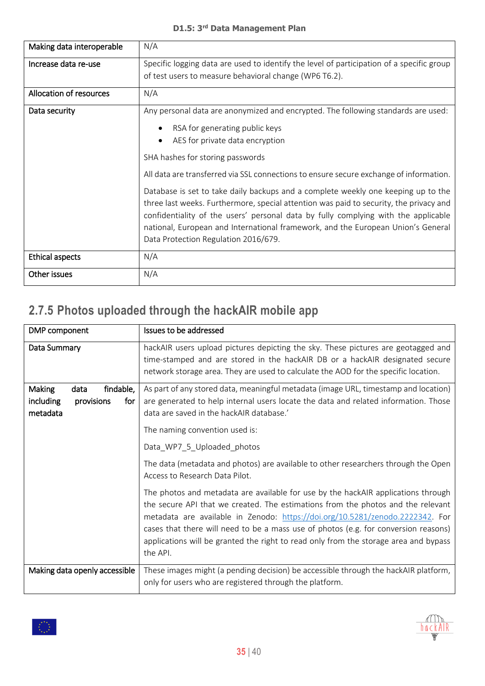| Making data interoperable                                                                                                                                                                                                                                                                                                                                                                     | N/A                                                                                       |  |
|-----------------------------------------------------------------------------------------------------------------------------------------------------------------------------------------------------------------------------------------------------------------------------------------------------------------------------------------------------------------------------------------------|-------------------------------------------------------------------------------------------|--|
| Increase data re-use                                                                                                                                                                                                                                                                                                                                                                          | Specific logging data are used to identify the level of participation of a specific group |  |
|                                                                                                                                                                                                                                                                                                                                                                                               | of test users to measure behavioral change (WP6 T6.2).                                    |  |
| Allocation of resources                                                                                                                                                                                                                                                                                                                                                                       | N/A                                                                                       |  |
| Data security                                                                                                                                                                                                                                                                                                                                                                                 | Any personal data are anonymized and encrypted. The following standards are used:         |  |
| RSA for generating public keys<br>AES for private data encryption<br>SHA hashes for storing passwords                                                                                                                                                                                                                                                                                         |                                                                                           |  |
|                                                                                                                                                                                                                                                                                                                                                                                               |                                                                                           |  |
|                                                                                                                                                                                                                                                                                                                                                                                               |                                                                                           |  |
|                                                                                                                                                                                                                                                                                                                                                                                               | All data are transferred via SSL connections to ensure secure exchange of information.    |  |
| Database is set to take daily backups and a complete weekly one keeping up to the<br>three last weeks. Furthermore, special attention was paid to security, the privacy and<br>confidentiality of the users' personal data by fully complying with the applicable<br>national, European and International framework, and the European Union's General<br>Data Protection Regulation 2016/679. |                                                                                           |  |
| <b>Ethical aspects</b>                                                                                                                                                                                                                                                                                                                                                                        | N/A                                                                                       |  |
| Other issues                                                                                                                                                                                                                                                                                                                                                                                  | N/A                                                                                       |  |

### <span id="page-34-0"></span>**2.7.5 Photos uploaded through the hackAIR mobile app**

| DMP component                                                                    | Issues to be addressed                                                                                                                                                                                                                                                                                                                                                                                                                                                                                                                                                                                                                                                                                                                                                                                                                                  |  |
|----------------------------------------------------------------------------------|---------------------------------------------------------------------------------------------------------------------------------------------------------------------------------------------------------------------------------------------------------------------------------------------------------------------------------------------------------------------------------------------------------------------------------------------------------------------------------------------------------------------------------------------------------------------------------------------------------------------------------------------------------------------------------------------------------------------------------------------------------------------------------------------------------------------------------------------------------|--|
| Data Summary                                                                     | hackAIR users upload pictures depicting the sky. These pictures are geotagged and<br>time-stamped and are stored in the hackAIR DB or a hackAIR designated secure<br>network storage area. They are used to calculate the AOD for the specific location.                                                                                                                                                                                                                                                                                                                                                                                                                                                                                                                                                                                                |  |
| Making<br>findable,<br>data<br><i>including</i><br>provisions<br>for<br>metadata | As part of any stored data, meaningful metadata (image URL, timestamp and location)<br>are generated to help internal users locate the data and related information. Those<br>data are saved in the hackAIR database.'<br>The naming convention used is:<br>Data_WP7_5_Uploaded_photos<br>The data (metadata and photos) are available to other researchers through the Open<br>Access to Research Data Pilot.<br>The photos and metadata are available for use by the hackAIR applications through<br>the secure API that we created. The estimations from the photos and the relevant<br>metadata are available in Zenodo: https://doi.org/10.5281/zenodo.2222342. For<br>cases that there will need to be a mass use of photos (e.g. for conversion reasons)<br>applications will be granted the right to read only from the storage area and bypass |  |
|                                                                                  | the API.                                                                                                                                                                                                                                                                                                                                                                                                                                                                                                                                                                                                                                                                                                                                                                                                                                                |  |
| Making data openly accessible                                                    | These images might (a pending decision) be accessible through the hackAIR platform,<br>only for users who are registered through the platform.                                                                                                                                                                                                                                                                                                                                                                                                                                                                                                                                                                                                                                                                                                          |  |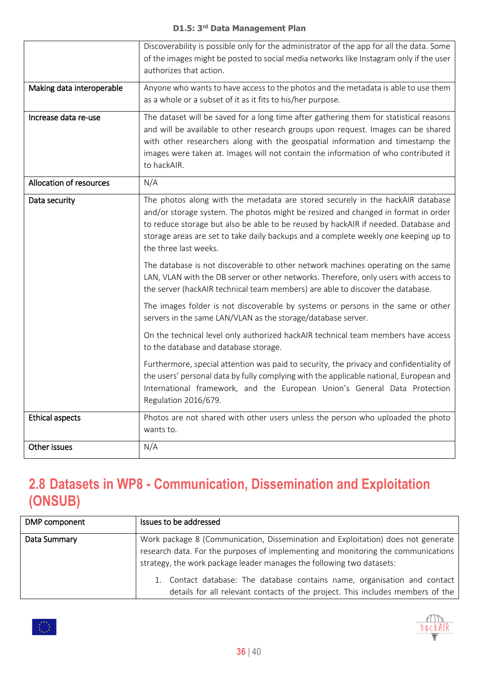|                           | Discoverability is possible only for the administrator of the app for all the data. Some<br>of the images might be posted to social media networks like Instagram only if the user<br>authorizes that action.                                                                                                                                                             |
|---------------------------|---------------------------------------------------------------------------------------------------------------------------------------------------------------------------------------------------------------------------------------------------------------------------------------------------------------------------------------------------------------------------|
| Making data interoperable | Anyone who wants to have access to the photos and the metadata is able to use them<br>as a whole or a subset of it as it fits to his/her purpose.                                                                                                                                                                                                                         |
| Increase data re-use      | The dataset will be saved for a long time after gathering them for statistical reasons<br>and will be available to other research groups upon request. Images can be shared<br>with other researchers along with the geospatial information and timestamp the<br>images were taken at. Images will not contain the information of who contributed it<br>to hackAIR.       |
| Allocation of resources   | N/A                                                                                                                                                                                                                                                                                                                                                                       |
| Data security             | The photos along with the metadata are stored securely in the hackAIR database<br>and/or storage system. The photos might be resized and changed in format in order<br>to reduce storage but also be able to be reused by hackAIR if needed. Database and<br>storage areas are set to take daily backups and a complete weekly one keeping up to<br>the three last weeks. |
|                           | The database is not discoverable to other network machines operating on the same<br>LAN, VLAN with the DB server or other networks. Therefore, only users with access to<br>the server (hackAIR technical team members) are able to discover the database.                                                                                                                |
|                           | The images folder is not discoverable by systems or persons in the same or other<br>servers in the same LAN/VLAN as the storage/database server.                                                                                                                                                                                                                          |
|                           | On the technical level only authorized hackAIR technical team members have access<br>to the database and database storage.                                                                                                                                                                                                                                                |
|                           | Furthermore, special attention was paid to security, the privacy and confidentiality of<br>the users' personal data by fully complying with the applicable national, European and<br>International framework, and the European Union's General Data Protection<br>Regulation 2016/679.                                                                                    |
| <b>Ethical aspects</b>    | Photos are not shared with other users unless the person who uploaded the photo<br>wants to.                                                                                                                                                                                                                                                                              |
| Other issues              | N/A                                                                                                                                                                                                                                                                                                                                                                       |

### <span id="page-35-0"></span>**2.8 Datasets in WP8 - Communication, Dissemination and Exploitation (ONSUB)**

| DMP component | Issues to be addressed                                                                                                                                                                                                                         |
|---------------|------------------------------------------------------------------------------------------------------------------------------------------------------------------------------------------------------------------------------------------------|
| Data Summary  | Work package 8 (Communication, Dissemination and Exploitation) does not generate<br>research data. For the purposes of implementing and monitoring the communications<br>strategy, the work package leader manages the following two datasets: |
|               | 1. Contact database: The database contains name, organisation and contact<br>details for all relevant contacts of the project. This includes members of the                                                                                    |

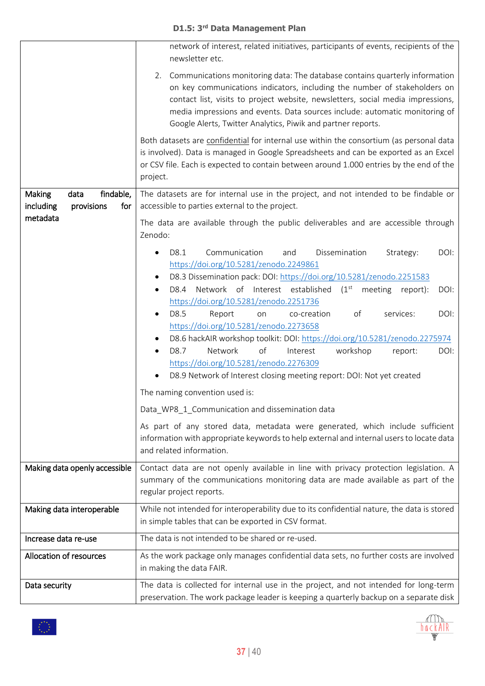|                                                               | network of interest, related initiatives, participants of events, recipients of the<br>newsletter etc.                                                                                                                                                                                                                                                                                        |  |
|---------------------------------------------------------------|-----------------------------------------------------------------------------------------------------------------------------------------------------------------------------------------------------------------------------------------------------------------------------------------------------------------------------------------------------------------------------------------------|--|
|                                                               | 2. Communications monitoring data: The database contains quarterly information<br>on key communications indicators, including the number of stakeholders on<br>contact list, visits to project website, newsletters, social media impressions,<br>media impressions and events. Data sources include: automatic monitoring of<br>Google Alerts, Twitter Analytics, Piwik and partner reports. |  |
|                                                               | Both datasets are confidential for internal use within the consortium (as personal data<br>is involved). Data is managed in Google Spreadsheets and can be exported as an Excel<br>or CSV file. Each is expected to contain between around 1.000 entries by the end of the<br>project.                                                                                                        |  |
| findable,<br>Making<br>data<br>including<br>provisions<br>for | The datasets are for internal use in the project, and not intended to be findable or<br>accessible to parties external to the project.                                                                                                                                                                                                                                                        |  |
| metadata                                                      | The data are available through the public deliverables and are accessible through<br>Zenodo:                                                                                                                                                                                                                                                                                                  |  |
|                                                               | Communication<br>Dissemination<br>D8.1<br>DOI:<br>and<br>Strategy:<br>$\bullet$<br>https://doi.org/10.5281/zenodo.2249861<br>D8.3 Dissemination pack: DOI: https://doi.org/10.5281/zenodo.2251583<br>٠<br>Network of Interest established (1 <sup>st</sup><br>D8.4<br>meeting<br>DOI:<br>report):                                                                                             |  |
|                                                               | https://doi.org/10.5281/zenodo.2251736<br>Report<br>of<br>DOI:<br>D8.5<br>co-creation<br>services:<br>on<br>https://doi.org/10.5281/zenodo.2273658<br>D8.6 hackAIR workshop toolkit: DOI: https://doi.org/10.5281/zenodo.2275974<br>of<br>Network<br>workshop<br>D8.7<br>Interest<br>DOI:<br>report:<br>$\bullet$<br>https://doi.org/10.5281/zenodo.2276309                                   |  |
|                                                               | D8.9 Network of Interest closing meeting report: DOI: Not yet created                                                                                                                                                                                                                                                                                                                         |  |
|                                                               | The naming convention used is:<br>Data_WP8_1_Communication and dissemination data                                                                                                                                                                                                                                                                                                             |  |
|                                                               | As part of any stored data, metadata were generated, which include sufficient<br>information with appropriate keywords to help external and internal users to locate data<br>and related information.                                                                                                                                                                                         |  |
| Making data openly accessible                                 | Contact data are not openly available in line with privacy protection legislation. A<br>summary of the communications monitoring data are made available as part of the<br>regular project reports.                                                                                                                                                                                           |  |
| Making data interoperable                                     | While not intended for interoperability due to its confidential nature, the data is stored<br>in simple tables that can be exported in CSV format.                                                                                                                                                                                                                                            |  |
| Increase data re-use                                          | The data is not intended to be shared or re-used.                                                                                                                                                                                                                                                                                                                                             |  |
| Allocation of resources                                       | As the work package only manages confidential data sets, no further costs are involved<br>in making the data FAIR.                                                                                                                                                                                                                                                                            |  |
| Data security                                                 | The data is collected for internal use in the project, and not intended for long-term<br>preservation. The work package leader is keeping a quarterly backup on a separate disk                                                                                                                                                                                                               |  |

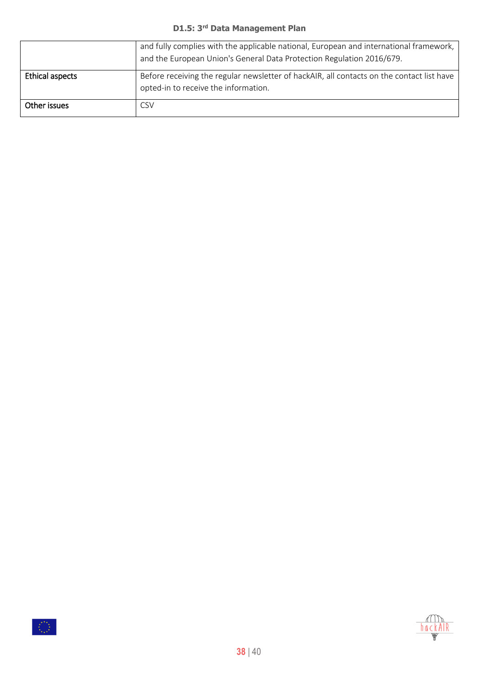|                 | and fully complies with the applicable national, European and international framework,<br>and the European Union's General Data Protection Regulation 2016/679. |
|-----------------|-----------------------------------------------------------------------------------------------------------------------------------------------------------------|
| Ethical aspects | Before receiving the regular newsletter of hackAIR, all contacts on the contact list have<br>opted-in to receive the information.                               |
| Other issues    | CSV                                                                                                                                                             |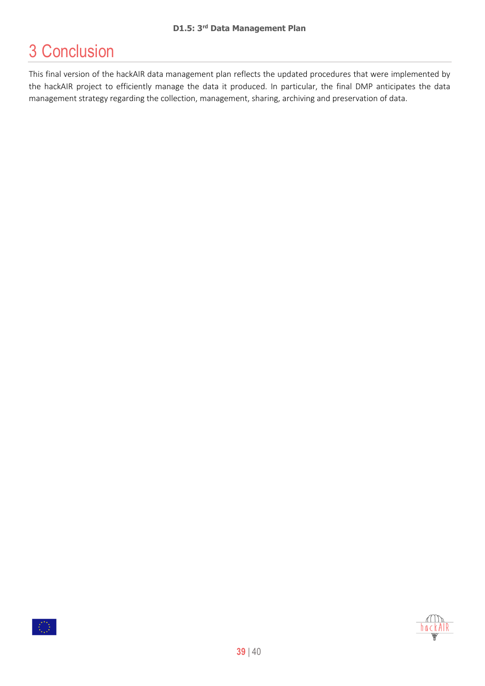# <span id="page-38-0"></span>3 Conclusion

This final version of the hackAIR data management plan reflects the updated procedures that were implemented by the hackAIR project to efficiently manage the data it produced. In particular, the final DMP anticipates the data management strategy regarding the collection, management, sharing, archiving and preservation of data.



hackAl